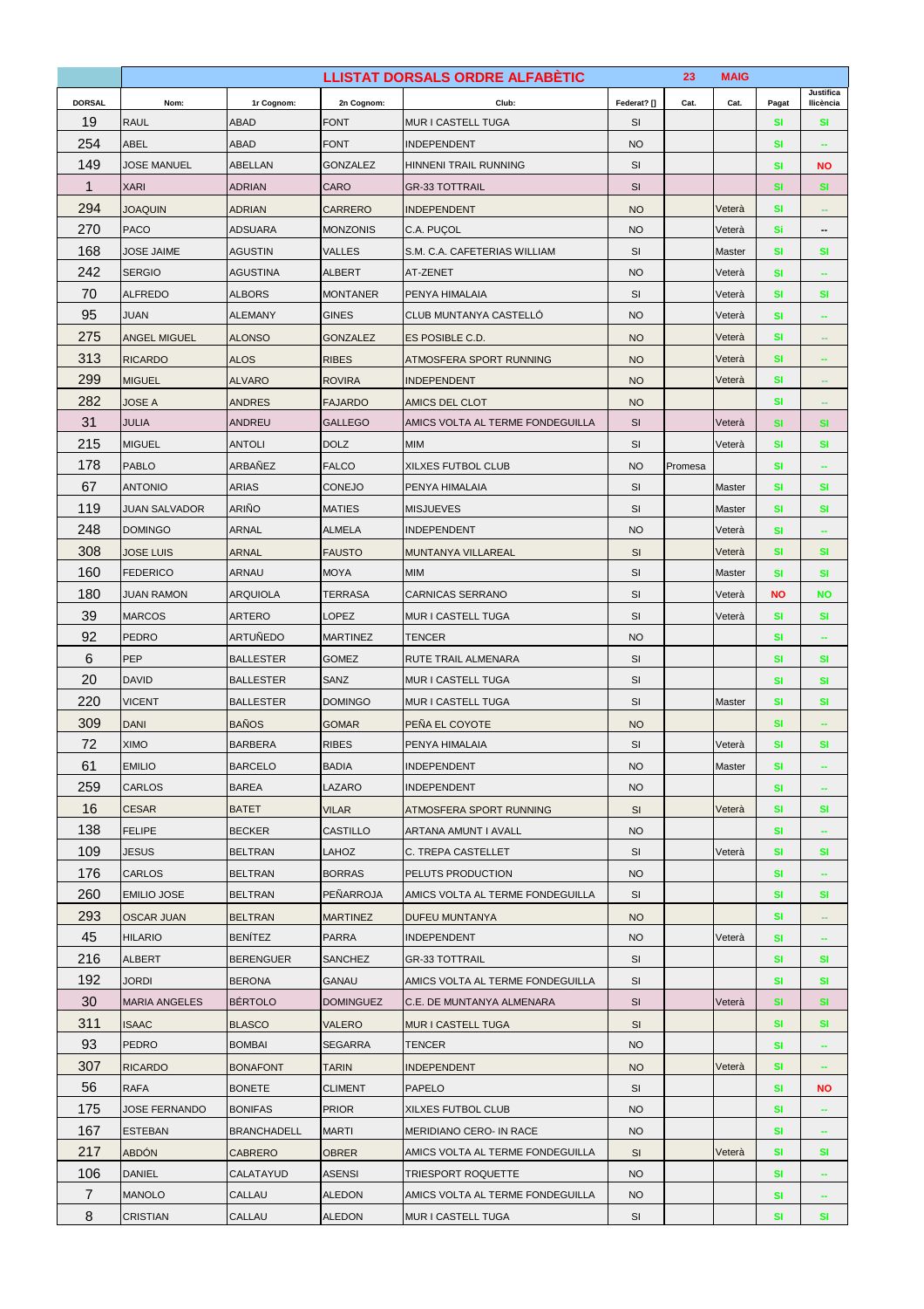| <b>DORSAL</b><br>Nom:<br>1r Cognom:<br>2n Cognom:<br>Club:<br>Federat? []<br>Cat.<br>Cat.<br>Ilicència<br>Pagat<br>19<br><b>RAUL</b><br>ABAD<br><b>FONT</b><br><b>MUR I CASTELL TUGA</b><br>SI<br>SI<br>SI<br>254<br><b>ABEL</b><br><b>ABAD</b><br><b>FONT</b><br><b>NO</b><br><b>INDEPENDENT</b><br>SI<br>149<br><b>GONZALEZ</b><br>SI<br>JOSE MANUEL<br>ABELLAN<br>HINNENI TRAIL RUNNING<br><b>SI</b><br><b>NO</b><br>$\mathbf{1}$<br><b>SI</b><br><b>XARI</b><br><b>ADRIAN</b><br>CARO<br>SI<br><b>SI</b><br><b>GR-33 TOTTRAIL</b><br>294<br>Veterà<br>SI<br><b>JOAQUIN</b><br><b>ADRIAN</b><br><b>CARRERO</b><br><b>INDEPENDENT</b><br><b>NO</b><br>270<br><b>PACO</b><br><b>ADSUARA</b><br><b>MONZONIS</b><br><b>NO</b><br>Veterà<br>Si<br>C.A. PUÇOL<br>$\overline{\phantom{a}}$<br>168<br><b>JOSE JAIME</b><br>AGUSTIN<br><b>VALLES</b><br>S.M. C.A. CAFETERIAS WILLIAM<br>SI<br>Master<br>SI<br><b>SI</b><br>242<br><b>SERGIO</b><br><b>NO</b><br><b>AGUSTINA</b><br><b>ALBERT</b><br>AT-ZENET<br>Veterà<br><b>SI</b><br>$\overline{\phantom{a}}$<br>70<br>SI<br><b>ALFREDO</b><br><b>ALBORS</b><br><b>MONTANER</b><br>Veterà<br><b>PENYA HIMALAIA</b><br><b>SI</b><br><b>SI</b><br>95<br>JUAN<br><b>ALEMANY</b><br><b>GINES</b><br>CLUB MUNTANYA CASTELLO<br><b>NO</b><br>SI<br>Veterà<br>275<br><b>GONZALEZ</b><br><b>NO</b><br>Veterà<br>SI<br>ANGEL MIGUEL<br><b>ALONSO</b><br>ES POSIBLE C.D.<br>$\overline{\phantom{a}}$<br>313<br><b>RIBES</b><br>Veterà<br>SI<br><b>RICARDO</b><br><b>ALOS</b><br><b>NO</b><br>ATMOSFERA SPORT RUNNING<br>299<br>Veterà<br><b>SI</b><br><b>MIGUEL</b><br><b>ALVARO</b><br><b>ROVIRA</b><br><b>NO</b><br><b>INDEPENDENT</b><br>ц,<br>282<br>JOSE A<br><b>ANDRES</b><br><b>FAJARDO</b><br>AMICS DEL CLOT<br><b>NO</b><br>SI<br>$\sim$<br>31<br><b>ANDREU</b><br>SI<br>JULIA<br><b>GALLEGO</b><br>AMICS VOLTA AL TERME FONDEGUILLA<br>Veterà<br><b>SI</b><br><b>SI</b><br>215<br><b>DOLZ</b><br><b>MIM</b><br><b>MIGUEL</b><br><b>ANTOLI</b><br>SI<br>Veterà<br><b>SI</b><br><b>SI</b><br>178<br>ARBAÑEZ<br><b>PABLO</b><br><b>FALCO</b><br><b>XILXES FUTBOL CLUB</b><br><b>NO</b><br>Promesa<br>SI<br>67<br><b>ANTONIO</b><br><b>ARIAS</b><br>SI<br><b>CONEJO</b><br>PENYA HIMALAIA<br>Master<br><b>SI</b><br><b>SI</b><br>119<br>ARIÑO<br><b>MATIES</b><br>SI<br>Master<br><b>JUAN SALVADOR</b><br><b>MISJUEVES</b><br><b>SI</b><br>SI<br>248<br><b>DOMINGO</b><br>ARNAL<br><b>ALMELA</b><br><b>NO</b><br>SI<br><b>INDEPENDENT</b><br>Veterà<br>--<br>308<br>Veterà<br>SI<br>SI<br><b>FAUSTO</b><br>SI<br><b>JOSE LUIS</b><br>ARNAL<br>MUNTANYA VILLAREAL<br>160<br><b>MOYA</b><br><b>MIM</b><br>SI<br>SI<br><b>FEDERICO</b><br>ARNAU<br>Master<br><b>SI</b><br>180<br><b>TERRASA</b><br>SI<br><b>NO</b><br><b>JUAN RAMON</b><br><b>ARQUIOLA</b><br><b>CARNICAS SERRANO</b><br><b>NO</b><br>Veterà<br>39<br><b>MARCOS</b><br><b>ARTERO</b><br>LOPEZ<br><b>MUR I CASTELL TUGA</b><br>SI<br>Veterà<br>SI<br>SI<br>92<br><b>PEDRO</b><br>ARTUÑEDO<br><b>MARTINEZ</b><br><b>TENCER</b><br><b>NO</b><br>SI<br>$\overline{\phantom{a}}$<br>6<br>PEP<br><b>BALLESTER</b><br><b>GOMEZ</b><br>RUTE TRAIL ALMENARA<br>SI<br><b>SI</b><br><b>SI</b><br>20<br><b>DAVID</b><br><b>BALLESTER</b><br>SANZ<br>MUR I CASTELL TUGA<br>SI<br><b>SI</b><br>SI<br>220<br><b>VICENT</b><br><b>BALLESTER</b><br>SI<br><b>DOMINGO</b><br><b>MUR I CASTELL TUGA</b><br>Master<br><b>SI</b><br><b>SI</b><br>309<br><b>BAÑOS</b><br>SI<br><b>DANI</b><br><b>GOMAR</b><br>PENA EL COYOTE<br><b>NO</b><br>72<br>SI<br><b>XIMO</b><br><b>BARBERA</b><br><b>RIBES</b><br>PENYA HIMALAIA<br><b>SI</b><br>Veterà<br>SI<br>61<br><b>EMILIO</b><br><b>BARCELO</b><br><b>NO</b><br><b>BADIA</b><br><b>INDEPENDENT</b><br>Master<br>SI<br>÷<br>259<br><b>CARLOS</b><br><b>BAREA</b><br>LAZARO<br><b>NO</b><br><b>INDEPENDENT</b><br><b>SI</b><br>16<br><b>CESAR</b><br><b>BATET</b><br>SI<br><b>SI</b><br><b>SI</b><br><b>VILAR</b><br>ATMOSFERA SPORT RUNNING<br>Veterà<br>138<br><b>FELIPE</b><br>CASTILLO<br><b>BECKER</b><br>ARTANA AMUNT I AVALL<br><b>NO</b><br>SI<br>109<br><b>JESUS</b><br>LAHOZ<br><b>BELTRAN</b><br>C. TREPA CASTELLET<br>SI<br>Veterà<br>SI<br><b>SI</b><br>176<br><b>CARLOS</b><br><b>BELTRAN</b><br><b>BORRAS</b><br>PELUTS PRODUCTION<br><b>NO</b><br>SI<br>260<br><b>EMILIO JOSE</b><br><b>BELTRAN</b><br>PEÑARROJA<br>AMICS VOLTA AL TERME FONDEGUILLA<br><b>SI</b><br><b>SI</b><br><b>SI</b><br>293<br><b>MARTINEZ</b><br><b>SI</b><br><b>OSCAR JUAN</b><br><b>BELTRAN</b><br><b>DUFEU MUNTANYA</b><br><b>NO</b><br>$\sim$<br>45<br><b>BENÍTEZ</b><br><b>PARRA</b><br><b>HILARIO</b><br><b>INDEPENDENT</b><br><b>NO</b><br>SI<br>Veterà<br>216<br><b>ALBERT</b><br><b>BERENGUER</b><br>SANCHEZ<br><b>GR-33 TOTTRAIL</b><br>SI<br>SI<br><b>SI</b><br>192<br>JORDI<br><b>BERONA</b><br>GANAU<br>AMICS VOLTA AL TERME FONDEGUILLA<br>SI<br>SI<br>SI<br>30<br><b>BÉRTOLO</b><br><b>MARIA ANGELES</b><br><b>DOMINGUEZ</b><br>C.E. DE MUNTANYA ALMENARA<br>SI<br>Veterà<br><b>SI</b><br><b>SI</b><br>311<br><b>BLASCO</b><br><b>SI</b><br><b>SI</b><br><b>ISAAC</b><br><b>VALERO</b><br>MUR I CASTELL TUGA<br><b>SI</b><br>93<br><b>PEDRO</b><br><b>BOMBAI</b><br><b>SEGARRA</b><br><b>TENCER</b><br><b>NO</b><br>SI<br>÷<br>307<br>Veterà<br><b>RICARDO</b><br><b>TARIN</b><br>SI<br><b>BONAFONT</b><br><b>INDEPENDENT</b><br><b>NO</b><br>-<br>56<br><b>RAFA</b><br><b>BONETE</b><br><b>CLIMENT</b><br><b>PAPELO</b><br>SI<br><b>SI</b><br><b>NO</b><br>175<br><b>JOSE FERNANDO</b><br><b>PRIOR</b><br><b>BONIFAS</b><br>XILXES FUTBOL CLUB<br><b>NO</b><br>SI<br>167<br><b>ESTEBAN</b><br><b>NO</b><br><b>BRANCHADELL</b><br><b>MARTI</b><br>MERIDIANO CERO- IN RACE<br><b>SI</b><br>$\overline{\phantom{a}}$<br>217<br><b>ABDÓN</b><br>AMICS VOLTA AL TERME FONDEGUILLA<br><b>CABRERO</b><br><b>OBRER</b><br>SI<br>Veterà<br>SI<br>SI<br>106<br><b>DANIEL</b><br>CALATAYUD<br><b>ASENSI</b><br>TRIESPORT ROQUETTE<br><b>NO</b><br>SI<br>$\sim$<br>7<br>MANOLO<br>CALLAU<br><b>ALEDON</b><br>AMICS VOLTA AL TERME FONDEGUILLA<br><b>NO</b><br><b>SI</b><br>÷ |   | <b>LLISTAT DORSALS ORDRE ALFABETIC</b><br>23<br><b>MAIG</b> |        |               |                    |    |  |  |           |                  |
|------------------------------------------------------------------------------------------------------------------------------------------------------------------------------------------------------------------------------------------------------------------------------------------------------------------------------------------------------------------------------------------------------------------------------------------------------------------------------------------------------------------------------------------------------------------------------------------------------------------------------------------------------------------------------------------------------------------------------------------------------------------------------------------------------------------------------------------------------------------------------------------------------------------------------------------------------------------------------------------------------------------------------------------------------------------------------------------------------------------------------------------------------------------------------------------------------------------------------------------------------------------------------------------------------------------------------------------------------------------------------------------------------------------------------------------------------------------------------------------------------------------------------------------------------------------------------------------------------------------------------------------------------------------------------------------------------------------------------------------------------------------------------------------------------------------------------------------------------------------------------------------------------------------------------------------------------------------------------------------------------------------------------------------------------------------------------------------------------------------------------------------------------------------------------------------------------------------------------------------------------------------------------------------------------------------------------------------------------------------------------------------------------------------------------------------------------------------------------------------------------------------------------------------------------------------------------------------------------------------------------------------------------------------------------------------------------------------------------------------------------------------------------------------------------------------------------------------------------------------------------------------------------------------------------------------------------------------------------------------------------------------------------------------------------------------------------------------------------------------------------------------------------------------------------------------------------------------------------------------------------------------------------------------------------------------------------------------------------------------------------------------------------------------------------------------------------------------------------------------------------------------------------------------------------------------------------------------------------------------------------------------------------------------------------------------------------------------------------------------------------------------------------------------------------------------------------------------------------------------------------------------------------------------------------------------------------------------------------------------------------------------------------------------------------------------------------------------------------------------------------------------------------------------------------------------------------------------------------------------------------------------------------------------------------------------------------------------------------------------------------------------------------------------------------------------------------------------------------------------------------------------------------------------------------------------------------------------------------------------------------------------------------------------------------------------------------------------------------------------------------------------------------------------------------------------------------------------------------------------------------------------------------------------------------------------------------------------------------------------------------------------------------------------------------------------------------------------------------------------------------------------------------------------------------------------------------------------------------------------------------------------------------------------------------------------------------------------------------------------------------------------------------------------------------------------------------------------------------------------------------------------------------------------------------------------------------------------------------------------------------------------------------------------------------------------------------------------------------------------------------------------------------------------------------------------------------------------------------------------------------------------------------------------------------------------------------------------------------------------------------------------------------------------------------------------------------------------------------|---|-------------------------------------------------------------|--------|---------------|--------------------|----|--|--|-----------|------------------|
|                                                                                                                                                                                                                                                                                                                                                                                                                                                                                                                                                                                                                                                                                                                                                                                                                                                                                                                                                                                                                                                                                                                                                                                                                                                                                                                                                                                                                                                                                                                                                                                                                                                                                                                                                                                                                                                                                                                                                                                                                                                                                                                                                                                                                                                                                                                                                                                                                                                                                                                                                                                                                                                                                                                                                                                                                                                                                                                                                                                                                                                                                                                                                                                                                                                                                                                                                                                                                                                                                                                                                                                                                                                                                                                                                                                                                                                                                                                                                                                                                                                                                                                                                                                                                                                                                                                                                                                                                                                                                                                                                                                                                                                                                                                                                                                                                                                                                                                                                                                                                                                                                                                                                                                                                                                                                                                                                                                                                                                                                                                                                                                                                                                                                                                                                                                                                                                                                                                                                                                                                                                                                                      |   |                                                             |        |               |                    |    |  |  |           | <b>Justifica</b> |
|                                                                                                                                                                                                                                                                                                                                                                                                                                                                                                                                                                                                                                                                                                                                                                                                                                                                                                                                                                                                                                                                                                                                                                                                                                                                                                                                                                                                                                                                                                                                                                                                                                                                                                                                                                                                                                                                                                                                                                                                                                                                                                                                                                                                                                                                                                                                                                                                                                                                                                                                                                                                                                                                                                                                                                                                                                                                                                                                                                                                                                                                                                                                                                                                                                                                                                                                                                                                                                                                                                                                                                                                                                                                                                                                                                                                                                                                                                                                                                                                                                                                                                                                                                                                                                                                                                                                                                                                                                                                                                                                                                                                                                                                                                                                                                                                                                                                                                                                                                                                                                                                                                                                                                                                                                                                                                                                                                                                                                                                                                                                                                                                                                                                                                                                                                                                                                                                                                                                                                                                                                                                                                      |   |                                                             |        |               |                    |    |  |  |           |                  |
|                                                                                                                                                                                                                                                                                                                                                                                                                                                                                                                                                                                                                                                                                                                                                                                                                                                                                                                                                                                                                                                                                                                                                                                                                                                                                                                                                                                                                                                                                                                                                                                                                                                                                                                                                                                                                                                                                                                                                                                                                                                                                                                                                                                                                                                                                                                                                                                                                                                                                                                                                                                                                                                                                                                                                                                                                                                                                                                                                                                                                                                                                                                                                                                                                                                                                                                                                                                                                                                                                                                                                                                                                                                                                                                                                                                                                                                                                                                                                                                                                                                                                                                                                                                                                                                                                                                                                                                                                                                                                                                                                                                                                                                                                                                                                                                                                                                                                                                                                                                                                                                                                                                                                                                                                                                                                                                                                                                                                                                                                                                                                                                                                                                                                                                                                                                                                                                                                                                                                                                                                                                                                                      |   |                                                             |        |               |                    |    |  |  |           |                  |
|                                                                                                                                                                                                                                                                                                                                                                                                                                                                                                                                                                                                                                                                                                                                                                                                                                                                                                                                                                                                                                                                                                                                                                                                                                                                                                                                                                                                                                                                                                                                                                                                                                                                                                                                                                                                                                                                                                                                                                                                                                                                                                                                                                                                                                                                                                                                                                                                                                                                                                                                                                                                                                                                                                                                                                                                                                                                                                                                                                                                                                                                                                                                                                                                                                                                                                                                                                                                                                                                                                                                                                                                                                                                                                                                                                                                                                                                                                                                                                                                                                                                                                                                                                                                                                                                                                                                                                                                                                                                                                                                                                                                                                                                                                                                                                                                                                                                                                                                                                                                                                                                                                                                                                                                                                                                                                                                                                                                                                                                                                                                                                                                                                                                                                                                                                                                                                                                                                                                                                                                                                                                                                      |   |                                                             |        |               |                    |    |  |  |           |                  |
|                                                                                                                                                                                                                                                                                                                                                                                                                                                                                                                                                                                                                                                                                                                                                                                                                                                                                                                                                                                                                                                                                                                                                                                                                                                                                                                                                                                                                                                                                                                                                                                                                                                                                                                                                                                                                                                                                                                                                                                                                                                                                                                                                                                                                                                                                                                                                                                                                                                                                                                                                                                                                                                                                                                                                                                                                                                                                                                                                                                                                                                                                                                                                                                                                                                                                                                                                                                                                                                                                                                                                                                                                                                                                                                                                                                                                                                                                                                                                                                                                                                                                                                                                                                                                                                                                                                                                                                                                                                                                                                                                                                                                                                                                                                                                                                                                                                                                                                                                                                                                                                                                                                                                                                                                                                                                                                                                                                                                                                                                                                                                                                                                                                                                                                                                                                                                                                                                                                                                                                                                                                                                                      |   |                                                             |        |               |                    |    |  |  |           |                  |
|                                                                                                                                                                                                                                                                                                                                                                                                                                                                                                                                                                                                                                                                                                                                                                                                                                                                                                                                                                                                                                                                                                                                                                                                                                                                                                                                                                                                                                                                                                                                                                                                                                                                                                                                                                                                                                                                                                                                                                                                                                                                                                                                                                                                                                                                                                                                                                                                                                                                                                                                                                                                                                                                                                                                                                                                                                                                                                                                                                                                                                                                                                                                                                                                                                                                                                                                                                                                                                                                                                                                                                                                                                                                                                                                                                                                                                                                                                                                                                                                                                                                                                                                                                                                                                                                                                                                                                                                                                                                                                                                                                                                                                                                                                                                                                                                                                                                                                                                                                                                                                                                                                                                                                                                                                                                                                                                                                                                                                                                                                                                                                                                                                                                                                                                                                                                                                                                                                                                                                                                                                                                                                      |   |                                                             |        |               |                    |    |  |  |           |                  |
|                                                                                                                                                                                                                                                                                                                                                                                                                                                                                                                                                                                                                                                                                                                                                                                                                                                                                                                                                                                                                                                                                                                                                                                                                                                                                                                                                                                                                                                                                                                                                                                                                                                                                                                                                                                                                                                                                                                                                                                                                                                                                                                                                                                                                                                                                                                                                                                                                                                                                                                                                                                                                                                                                                                                                                                                                                                                                                                                                                                                                                                                                                                                                                                                                                                                                                                                                                                                                                                                                                                                                                                                                                                                                                                                                                                                                                                                                                                                                                                                                                                                                                                                                                                                                                                                                                                                                                                                                                                                                                                                                                                                                                                                                                                                                                                                                                                                                                                                                                                                                                                                                                                                                                                                                                                                                                                                                                                                                                                                                                                                                                                                                                                                                                                                                                                                                                                                                                                                                                                                                                                                                                      |   |                                                             |        |               |                    |    |  |  |           |                  |
|                                                                                                                                                                                                                                                                                                                                                                                                                                                                                                                                                                                                                                                                                                                                                                                                                                                                                                                                                                                                                                                                                                                                                                                                                                                                                                                                                                                                                                                                                                                                                                                                                                                                                                                                                                                                                                                                                                                                                                                                                                                                                                                                                                                                                                                                                                                                                                                                                                                                                                                                                                                                                                                                                                                                                                                                                                                                                                                                                                                                                                                                                                                                                                                                                                                                                                                                                                                                                                                                                                                                                                                                                                                                                                                                                                                                                                                                                                                                                                                                                                                                                                                                                                                                                                                                                                                                                                                                                                                                                                                                                                                                                                                                                                                                                                                                                                                                                                                                                                                                                                                                                                                                                                                                                                                                                                                                                                                                                                                                                                                                                                                                                                                                                                                                                                                                                                                                                                                                                                                                                                                                                                      |   |                                                             |        |               |                    |    |  |  |           |                  |
|                                                                                                                                                                                                                                                                                                                                                                                                                                                                                                                                                                                                                                                                                                                                                                                                                                                                                                                                                                                                                                                                                                                                                                                                                                                                                                                                                                                                                                                                                                                                                                                                                                                                                                                                                                                                                                                                                                                                                                                                                                                                                                                                                                                                                                                                                                                                                                                                                                                                                                                                                                                                                                                                                                                                                                                                                                                                                                                                                                                                                                                                                                                                                                                                                                                                                                                                                                                                                                                                                                                                                                                                                                                                                                                                                                                                                                                                                                                                                                                                                                                                                                                                                                                                                                                                                                                                                                                                                                                                                                                                                                                                                                                                                                                                                                                                                                                                                                                                                                                                                                                                                                                                                                                                                                                                                                                                                                                                                                                                                                                                                                                                                                                                                                                                                                                                                                                                                                                                                                                                                                                                                                      |   |                                                             |        |               |                    |    |  |  |           |                  |
|                                                                                                                                                                                                                                                                                                                                                                                                                                                                                                                                                                                                                                                                                                                                                                                                                                                                                                                                                                                                                                                                                                                                                                                                                                                                                                                                                                                                                                                                                                                                                                                                                                                                                                                                                                                                                                                                                                                                                                                                                                                                                                                                                                                                                                                                                                                                                                                                                                                                                                                                                                                                                                                                                                                                                                                                                                                                                                                                                                                                                                                                                                                                                                                                                                                                                                                                                                                                                                                                                                                                                                                                                                                                                                                                                                                                                                                                                                                                                                                                                                                                                                                                                                                                                                                                                                                                                                                                                                                                                                                                                                                                                                                                                                                                                                                                                                                                                                                                                                                                                                                                                                                                                                                                                                                                                                                                                                                                                                                                                                                                                                                                                                                                                                                                                                                                                                                                                                                                                                                                                                                                                                      |   |                                                             |        |               |                    |    |  |  |           |                  |
|                                                                                                                                                                                                                                                                                                                                                                                                                                                                                                                                                                                                                                                                                                                                                                                                                                                                                                                                                                                                                                                                                                                                                                                                                                                                                                                                                                                                                                                                                                                                                                                                                                                                                                                                                                                                                                                                                                                                                                                                                                                                                                                                                                                                                                                                                                                                                                                                                                                                                                                                                                                                                                                                                                                                                                                                                                                                                                                                                                                                                                                                                                                                                                                                                                                                                                                                                                                                                                                                                                                                                                                                                                                                                                                                                                                                                                                                                                                                                                                                                                                                                                                                                                                                                                                                                                                                                                                                                                                                                                                                                                                                                                                                                                                                                                                                                                                                                                                                                                                                                                                                                                                                                                                                                                                                                                                                                                                                                                                                                                                                                                                                                                                                                                                                                                                                                                                                                                                                                                                                                                                                                                      |   |                                                             |        |               |                    |    |  |  |           |                  |
|                                                                                                                                                                                                                                                                                                                                                                                                                                                                                                                                                                                                                                                                                                                                                                                                                                                                                                                                                                                                                                                                                                                                                                                                                                                                                                                                                                                                                                                                                                                                                                                                                                                                                                                                                                                                                                                                                                                                                                                                                                                                                                                                                                                                                                                                                                                                                                                                                                                                                                                                                                                                                                                                                                                                                                                                                                                                                                                                                                                                                                                                                                                                                                                                                                                                                                                                                                                                                                                                                                                                                                                                                                                                                                                                                                                                                                                                                                                                                                                                                                                                                                                                                                                                                                                                                                                                                                                                                                                                                                                                                                                                                                                                                                                                                                                                                                                                                                                                                                                                                                                                                                                                                                                                                                                                                                                                                                                                                                                                                                                                                                                                                                                                                                                                                                                                                                                                                                                                                                                                                                                                                                      |   |                                                             |        |               |                    |    |  |  |           |                  |
|                                                                                                                                                                                                                                                                                                                                                                                                                                                                                                                                                                                                                                                                                                                                                                                                                                                                                                                                                                                                                                                                                                                                                                                                                                                                                                                                                                                                                                                                                                                                                                                                                                                                                                                                                                                                                                                                                                                                                                                                                                                                                                                                                                                                                                                                                                                                                                                                                                                                                                                                                                                                                                                                                                                                                                                                                                                                                                                                                                                                                                                                                                                                                                                                                                                                                                                                                                                                                                                                                                                                                                                                                                                                                                                                                                                                                                                                                                                                                                                                                                                                                                                                                                                                                                                                                                                                                                                                                                                                                                                                                                                                                                                                                                                                                                                                                                                                                                                                                                                                                                                                                                                                                                                                                                                                                                                                                                                                                                                                                                                                                                                                                                                                                                                                                                                                                                                                                                                                                                                                                                                                                                      |   |                                                             |        |               |                    |    |  |  |           |                  |
|                                                                                                                                                                                                                                                                                                                                                                                                                                                                                                                                                                                                                                                                                                                                                                                                                                                                                                                                                                                                                                                                                                                                                                                                                                                                                                                                                                                                                                                                                                                                                                                                                                                                                                                                                                                                                                                                                                                                                                                                                                                                                                                                                                                                                                                                                                                                                                                                                                                                                                                                                                                                                                                                                                                                                                                                                                                                                                                                                                                                                                                                                                                                                                                                                                                                                                                                                                                                                                                                                                                                                                                                                                                                                                                                                                                                                                                                                                                                                                                                                                                                                                                                                                                                                                                                                                                                                                                                                                                                                                                                                                                                                                                                                                                                                                                                                                                                                                                                                                                                                                                                                                                                                                                                                                                                                                                                                                                                                                                                                                                                                                                                                                                                                                                                                                                                                                                                                                                                                                                                                                                                                                      |   |                                                             |        |               |                    |    |  |  |           |                  |
|                                                                                                                                                                                                                                                                                                                                                                                                                                                                                                                                                                                                                                                                                                                                                                                                                                                                                                                                                                                                                                                                                                                                                                                                                                                                                                                                                                                                                                                                                                                                                                                                                                                                                                                                                                                                                                                                                                                                                                                                                                                                                                                                                                                                                                                                                                                                                                                                                                                                                                                                                                                                                                                                                                                                                                                                                                                                                                                                                                                                                                                                                                                                                                                                                                                                                                                                                                                                                                                                                                                                                                                                                                                                                                                                                                                                                                                                                                                                                                                                                                                                                                                                                                                                                                                                                                                                                                                                                                                                                                                                                                                                                                                                                                                                                                                                                                                                                                                                                                                                                                                                                                                                                                                                                                                                                                                                                                                                                                                                                                                                                                                                                                                                                                                                                                                                                                                                                                                                                                                                                                                                                                      |   |                                                             |        |               |                    |    |  |  |           |                  |
|                                                                                                                                                                                                                                                                                                                                                                                                                                                                                                                                                                                                                                                                                                                                                                                                                                                                                                                                                                                                                                                                                                                                                                                                                                                                                                                                                                                                                                                                                                                                                                                                                                                                                                                                                                                                                                                                                                                                                                                                                                                                                                                                                                                                                                                                                                                                                                                                                                                                                                                                                                                                                                                                                                                                                                                                                                                                                                                                                                                                                                                                                                                                                                                                                                                                                                                                                                                                                                                                                                                                                                                                                                                                                                                                                                                                                                                                                                                                                                                                                                                                                                                                                                                                                                                                                                                                                                                                                                                                                                                                                                                                                                                                                                                                                                                                                                                                                                                                                                                                                                                                                                                                                                                                                                                                                                                                                                                                                                                                                                                                                                                                                                                                                                                                                                                                                                                                                                                                                                                                                                                                                                      |   |                                                             |        |               |                    |    |  |  |           |                  |
|                                                                                                                                                                                                                                                                                                                                                                                                                                                                                                                                                                                                                                                                                                                                                                                                                                                                                                                                                                                                                                                                                                                                                                                                                                                                                                                                                                                                                                                                                                                                                                                                                                                                                                                                                                                                                                                                                                                                                                                                                                                                                                                                                                                                                                                                                                                                                                                                                                                                                                                                                                                                                                                                                                                                                                                                                                                                                                                                                                                                                                                                                                                                                                                                                                                                                                                                                                                                                                                                                                                                                                                                                                                                                                                                                                                                                                                                                                                                                                                                                                                                                                                                                                                                                                                                                                                                                                                                                                                                                                                                                                                                                                                                                                                                                                                                                                                                                                                                                                                                                                                                                                                                                                                                                                                                                                                                                                                                                                                                                                                                                                                                                                                                                                                                                                                                                                                                                                                                                                                                                                                                                                      |   |                                                             |        |               |                    |    |  |  |           |                  |
|                                                                                                                                                                                                                                                                                                                                                                                                                                                                                                                                                                                                                                                                                                                                                                                                                                                                                                                                                                                                                                                                                                                                                                                                                                                                                                                                                                                                                                                                                                                                                                                                                                                                                                                                                                                                                                                                                                                                                                                                                                                                                                                                                                                                                                                                                                                                                                                                                                                                                                                                                                                                                                                                                                                                                                                                                                                                                                                                                                                                                                                                                                                                                                                                                                                                                                                                                                                                                                                                                                                                                                                                                                                                                                                                                                                                                                                                                                                                                                                                                                                                                                                                                                                                                                                                                                                                                                                                                                                                                                                                                                                                                                                                                                                                                                                                                                                                                                                                                                                                                                                                                                                                                                                                                                                                                                                                                                                                                                                                                                                                                                                                                                                                                                                                                                                                                                                                                                                                                                                                                                                                                                      |   |                                                             |        |               |                    |    |  |  |           |                  |
|                                                                                                                                                                                                                                                                                                                                                                                                                                                                                                                                                                                                                                                                                                                                                                                                                                                                                                                                                                                                                                                                                                                                                                                                                                                                                                                                                                                                                                                                                                                                                                                                                                                                                                                                                                                                                                                                                                                                                                                                                                                                                                                                                                                                                                                                                                                                                                                                                                                                                                                                                                                                                                                                                                                                                                                                                                                                                                                                                                                                                                                                                                                                                                                                                                                                                                                                                                                                                                                                                                                                                                                                                                                                                                                                                                                                                                                                                                                                                                                                                                                                                                                                                                                                                                                                                                                                                                                                                                                                                                                                                                                                                                                                                                                                                                                                                                                                                                                                                                                                                                                                                                                                                                                                                                                                                                                                                                                                                                                                                                                                                                                                                                                                                                                                                                                                                                                                                                                                                                                                                                                                                                      |   |                                                             |        |               |                    |    |  |  |           |                  |
|                                                                                                                                                                                                                                                                                                                                                                                                                                                                                                                                                                                                                                                                                                                                                                                                                                                                                                                                                                                                                                                                                                                                                                                                                                                                                                                                                                                                                                                                                                                                                                                                                                                                                                                                                                                                                                                                                                                                                                                                                                                                                                                                                                                                                                                                                                                                                                                                                                                                                                                                                                                                                                                                                                                                                                                                                                                                                                                                                                                                                                                                                                                                                                                                                                                                                                                                                                                                                                                                                                                                                                                                                                                                                                                                                                                                                                                                                                                                                                                                                                                                                                                                                                                                                                                                                                                                                                                                                                                                                                                                                                                                                                                                                                                                                                                                                                                                                                                                                                                                                                                                                                                                                                                                                                                                                                                                                                                                                                                                                                                                                                                                                                                                                                                                                                                                                                                                                                                                                                                                                                                                                                      |   |                                                             |        |               |                    |    |  |  |           |                  |
|                                                                                                                                                                                                                                                                                                                                                                                                                                                                                                                                                                                                                                                                                                                                                                                                                                                                                                                                                                                                                                                                                                                                                                                                                                                                                                                                                                                                                                                                                                                                                                                                                                                                                                                                                                                                                                                                                                                                                                                                                                                                                                                                                                                                                                                                                                                                                                                                                                                                                                                                                                                                                                                                                                                                                                                                                                                                                                                                                                                                                                                                                                                                                                                                                                                                                                                                                                                                                                                                                                                                                                                                                                                                                                                                                                                                                                                                                                                                                                                                                                                                                                                                                                                                                                                                                                                                                                                                                                                                                                                                                                                                                                                                                                                                                                                                                                                                                                                                                                                                                                                                                                                                                                                                                                                                                                                                                                                                                                                                                                                                                                                                                                                                                                                                                                                                                                                                                                                                                                                                                                                                                                      |   |                                                             |        |               |                    |    |  |  |           |                  |
|                                                                                                                                                                                                                                                                                                                                                                                                                                                                                                                                                                                                                                                                                                                                                                                                                                                                                                                                                                                                                                                                                                                                                                                                                                                                                                                                                                                                                                                                                                                                                                                                                                                                                                                                                                                                                                                                                                                                                                                                                                                                                                                                                                                                                                                                                                                                                                                                                                                                                                                                                                                                                                                                                                                                                                                                                                                                                                                                                                                                                                                                                                                                                                                                                                                                                                                                                                                                                                                                                                                                                                                                                                                                                                                                                                                                                                                                                                                                                                                                                                                                                                                                                                                                                                                                                                                                                                                                                                                                                                                                                                                                                                                                                                                                                                                                                                                                                                                                                                                                                                                                                                                                                                                                                                                                                                                                                                                                                                                                                                                                                                                                                                                                                                                                                                                                                                                                                                                                                                                                                                                                                                      |   |                                                             |        |               |                    |    |  |  |           |                  |
|                                                                                                                                                                                                                                                                                                                                                                                                                                                                                                                                                                                                                                                                                                                                                                                                                                                                                                                                                                                                                                                                                                                                                                                                                                                                                                                                                                                                                                                                                                                                                                                                                                                                                                                                                                                                                                                                                                                                                                                                                                                                                                                                                                                                                                                                                                                                                                                                                                                                                                                                                                                                                                                                                                                                                                                                                                                                                                                                                                                                                                                                                                                                                                                                                                                                                                                                                                                                                                                                                                                                                                                                                                                                                                                                                                                                                                                                                                                                                                                                                                                                                                                                                                                                                                                                                                                                                                                                                                                                                                                                                                                                                                                                                                                                                                                                                                                                                                                                                                                                                                                                                                                                                                                                                                                                                                                                                                                                                                                                                                                                                                                                                                                                                                                                                                                                                                                                                                                                                                                                                                                                                                      |   |                                                             |        |               |                    |    |  |  |           |                  |
|                                                                                                                                                                                                                                                                                                                                                                                                                                                                                                                                                                                                                                                                                                                                                                                                                                                                                                                                                                                                                                                                                                                                                                                                                                                                                                                                                                                                                                                                                                                                                                                                                                                                                                                                                                                                                                                                                                                                                                                                                                                                                                                                                                                                                                                                                                                                                                                                                                                                                                                                                                                                                                                                                                                                                                                                                                                                                                                                                                                                                                                                                                                                                                                                                                                                                                                                                                                                                                                                                                                                                                                                                                                                                                                                                                                                                                                                                                                                                                                                                                                                                                                                                                                                                                                                                                                                                                                                                                                                                                                                                                                                                                                                                                                                                                                                                                                                                                                                                                                                                                                                                                                                                                                                                                                                                                                                                                                                                                                                                                                                                                                                                                                                                                                                                                                                                                                                                                                                                                                                                                                                                                      |   |                                                             |        |               |                    |    |  |  |           |                  |
|                                                                                                                                                                                                                                                                                                                                                                                                                                                                                                                                                                                                                                                                                                                                                                                                                                                                                                                                                                                                                                                                                                                                                                                                                                                                                                                                                                                                                                                                                                                                                                                                                                                                                                                                                                                                                                                                                                                                                                                                                                                                                                                                                                                                                                                                                                                                                                                                                                                                                                                                                                                                                                                                                                                                                                                                                                                                                                                                                                                                                                                                                                                                                                                                                                                                                                                                                                                                                                                                                                                                                                                                                                                                                                                                                                                                                                                                                                                                                                                                                                                                                                                                                                                                                                                                                                                                                                                                                                                                                                                                                                                                                                                                                                                                                                                                                                                                                                                                                                                                                                                                                                                                                                                                                                                                                                                                                                                                                                                                                                                                                                                                                                                                                                                                                                                                                                                                                                                                                                                                                                                                                                      |   |                                                             |        |               |                    |    |  |  |           |                  |
|                                                                                                                                                                                                                                                                                                                                                                                                                                                                                                                                                                                                                                                                                                                                                                                                                                                                                                                                                                                                                                                                                                                                                                                                                                                                                                                                                                                                                                                                                                                                                                                                                                                                                                                                                                                                                                                                                                                                                                                                                                                                                                                                                                                                                                                                                                                                                                                                                                                                                                                                                                                                                                                                                                                                                                                                                                                                                                                                                                                                                                                                                                                                                                                                                                                                                                                                                                                                                                                                                                                                                                                                                                                                                                                                                                                                                                                                                                                                                                                                                                                                                                                                                                                                                                                                                                                                                                                                                                                                                                                                                                                                                                                                                                                                                                                                                                                                                                                                                                                                                                                                                                                                                                                                                                                                                                                                                                                                                                                                                                                                                                                                                                                                                                                                                                                                                                                                                                                                                                                                                                                                                                      |   |                                                             |        |               |                    |    |  |  |           |                  |
|                                                                                                                                                                                                                                                                                                                                                                                                                                                                                                                                                                                                                                                                                                                                                                                                                                                                                                                                                                                                                                                                                                                                                                                                                                                                                                                                                                                                                                                                                                                                                                                                                                                                                                                                                                                                                                                                                                                                                                                                                                                                                                                                                                                                                                                                                                                                                                                                                                                                                                                                                                                                                                                                                                                                                                                                                                                                                                                                                                                                                                                                                                                                                                                                                                                                                                                                                                                                                                                                                                                                                                                                                                                                                                                                                                                                                                                                                                                                                                                                                                                                                                                                                                                                                                                                                                                                                                                                                                                                                                                                                                                                                                                                                                                                                                                                                                                                                                                                                                                                                                                                                                                                                                                                                                                                                                                                                                                                                                                                                                                                                                                                                                                                                                                                                                                                                                                                                                                                                                                                                                                                                                      |   |                                                             |        |               |                    |    |  |  |           |                  |
|                                                                                                                                                                                                                                                                                                                                                                                                                                                                                                                                                                                                                                                                                                                                                                                                                                                                                                                                                                                                                                                                                                                                                                                                                                                                                                                                                                                                                                                                                                                                                                                                                                                                                                                                                                                                                                                                                                                                                                                                                                                                                                                                                                                                                                                                                                                                                                                                                                                                                                                                                                                                                                                                                                                                                                                                                                                                                                                                                                                                                                                                                                                                                                                                                                                                                                                                                                                                                                                                                                                                                                                                                                                                                                                                                                                                                                                                                                                                                                                                                                                                                                                                                                                                                                                                                                                                                                                                                                                                                                                                                                                                                                                                                                                                                                                                                                                                                                                                                                                                                                                                                                                                                                                                                                                                                                                                                                                                                                                                                                                                                                                                                                                                                                                                                                                                                                                                                                                                                                                                                                                                                                      |   |                                                             |        |               |                    |    |  |  |           |                  |
|                                                                                                                                                                                                                                                                                                                                                                                                                                                                                                                                                                                                                                                                                                                                                                                                                                                                                                                                                                                                                                                                                                                                                                                                                                                                                                                                                                                                                                                                                                                                                                                                                                                                                                                                                                                                                                                                                                                                                                                                                                                                                                                                                                                                                                                                                                                                                                                                                                                                                                                                                                                                                                                                                                                                                                                                                                                                                                                                                                                                                                                                                                                                                                                                                                                                                                                                                                                                                                                                                                                                                                                                                                                                                                                                                                                                                                                                                                                                                                                                                                                                                                                                                                                                                                                                                                                                                                                                                                                                                                                                                                                                                                                                                                                                                                                                                                                                                                                                                                                                                                                                                                                                                                                                                                                                                                                                                                                                                                                                                                                                                                                                                                                                                                                                                                                                                                                                                                                                                                                                                                                                                                      |   |                                                             |        |               |                    |    |  |  |           |                  |
|                                                                                                                                                                                                                                                                                                                                                                                                                                                                                                                                                                                                                                                                                                                                                                                                                                                                                                                                                                                                                                                                                                                                                                                                                                                                                                                                                                                                                                                                                                                                                                                                                                                                                                                                                                                                                                                                                                                                                                                                                                                                                                                                                                                                                                                                                                                                                                                                                                                                                                                                                                                                                                                                                                                                                                                                                                                                                                                                                                                                                                                                                                                                                                                                                                                                                                                                                                                                                                                                                                                                                                                                                                                                                                                                                                                                                                                                                                                                                                                                                                                                                                                                                                                                                                                                                                                                                                                                                                                                                                                                                                                                                                                                                                                                                                                                                                                                                                                                                                                                                                                                                                                                                                                                                                                                                                                                                                                                                                                                                                                                                                                                                                                                                                                                                                                                                                                                                                                                                                                                                                                                                                      |   |                                                             |        |               |                    |    |  |  |           |                  |
|                                                                                                                                                                                                                                                                                                                                                                                                                                                                                                                                                                                                                                                                                                                                                                                                                                                                                                                                                                                                                                                                                                                                                                                                                                                                                                                                                                                                                                                                                                                                                                                                                                                                                                                                                                                                                                                                                                                                                                                                                                                                                                                                                                                                                                                                                                                                                                                                                                                                                                                                                                                                                                                                                                                                                                                                                                                                                                                                                                                                                                                                                                                                                                                                                                                                                                                                                                                                                                                                                                                                                                                                                                                                                                                                                                                                                                                                                                                                                                                                                                                                                                                                                                                                                                                                                                                                                                                                                                                                                                                                                                                                                                                                                                                                                                                                                                                                                                                                                                                                                                                                                                                                                                                                                                                                                                                                                                                                                                                                                                                                                                                                                                                                                                                                                                                                                                                                                                                                                                                                                                                                                                      |   |                                                             |        |               |                    |    |  |  |           |                  |
|                                                                                                                                                                                                                                                                                                                                                                                                                                                                                                                                                                                                                                                                                                                                                                                                                                                                                                                                                                                                                                                                                                                                                                                                                                                                                                                                                                                                                                                                                                                                                                                                                                                                                                                                                                                                                                                                                                                                                                                                                                                                                                                                                                                                                                                                                                                                                                                                                                                                                                                                                                                                                                                                                                                                                                                                                                                                                                                                                                                                                                                                                                                                                                                                                                                                                                                                                                                                                                                                                                                                                                                                                                                                                                                                                                                                                                                                                                                                                                                                                                                                                                                                                                                                                                                                                                                                                                                                                                                                                                                                                                                                                                                                                                                                                                                                                                                                                                                                                                                                                                                                                                                                                                                                                                                                                                                                                                                                                                                                                                                                                                                                                                                                                                                                                                                                                                                                                                                                                                                                                                                                                                      |   |                                                             |        |               |                    |    |  |  |           |                  |
|                                                                                                                                                                                                                                                                                                                                                                                                                                                                                                                                                                                                                                                                                                                                                                                                                                                                                                                                                                                                                                                                                                                                                                                                                                                                                                                                                                                                                                                                                                                                                                                                                                                                                                                                                                                                                                                                                                                                                                                                                                                                                                                                                                                                                                                                                                                                                                                                                                                                                                                                                                                                                                                                                                                                                                                                                                                                                                                                                                                                                                                                                                                                                                                                                                                                                                                                                                                                                                                                                                                                                                                                                                                                                                                                                                                                                                                                                                                                                                                                                                                                                                                                                                                                                                                                                                                                                                                                                                                                                                                                                                                                                                                                                                                                                                                                                                                                                                                                                                                                                                                                                                                                                                                                                                                                                                                                                                                                                                                                                                                                                                                                                                                                                                                                                                                                                                                                                                                                                                                                                                                                                                      |   |                                                             |        |               |                    |    |  |  |           |                  |
|                                                                                                                                                                                                                                                                                                                                                                                                                                                                                                                                                                                                                                                                                                                                                                                                                                                                                                                                                                                                                                                                                                                                                                                                                                                                                                                                                                                                                                                                                                                                                                                                                                                                                                                                                                                                                                                                                                                                                                                                                                                                                                                                                                                                                                                                                                                                                                                                                                                                                                                                                                                                                                                                                                                                                                                                                                                                                                                                                                                                                                                                                                                                                                                                                                                                                                                                                                                                                                                                                                                                                                                                                                                                                                                                                                                                                                                                                                                                                                                                                                                                                                                                                                                                                                                                                                                                                                                                                                                                                                                                                                                                                                                                                                                                                                                                                                                                                                                                                                                                                                                                                                                                                                                                                                                                                                                                                                                                                                                                                                                                                                                                                                                                                                                                                                                                                                                                                                                                                                                                                                                                                                      |   |                                                             |        |               |                    |    |  |  |           |                  |
|                                                                                                                                                                                                                                                                                                                                                                                                                                                                                                                                                                                                                                                                                                                                                                                                                                                                                                                                                                                                                                                                                                                                                                                                                                                                                                                                                                                                                                                                                                                                                                                                                                                                                                                                                                                                                                                                                                                                                                                                                                                                                                                                                                                                                                                                                                                                                                                                                                                                                                                                                                                                                                                                                                                                                                                                                                                                                                                                                                                                                                                                                                                                                                                                                                                                                                                                                                                                                                                                                                                                                                                                                                                                                                                                                                                                                                                                                                                                                                                                                                                                                                                                                                                                                                                                                                                                                                                                                                                                                                                                                                                                                                                                                                                                                                                                                                                                                                                                                                                                                                                                                                                                                                                                                                                                                                                                                                                                                                                                                                                                                                                                                                                                                                                                                                                                                                                                                                                                                                                                                                                                                                      |   |                                                             |        |               |                    |    |  |  |           |                  |
|                                                                                                                                                                                                                                                                                                                                                                                                                                                                                                                                                                                                                                                                                                                                                                                                                                                                                                                                                                                                                                                                                                                                                                                                                                                                                                                                                                                                                                                                                                                                                                                                                                                                                                                                                                                                                                                                                                                                                                                                                                                                                                                                                                                                                                                                                                                                                                                                                                                                                                                                                                                                                                                                                                                                                                                                                                                                                                                                                                                                                                                                                                                                                                                                                                                                                                                                                                                                                                                                                                                                                                                                                                                                                                                                                                                                                                                                                                                                                                                                                                                                                                                                                                                                                                                                                                                                                                                                                                                                                                                                                                                                                                                                                                                                                                                                                                                                                                                                                                                                                                                                                                                                                                                                                                                                                                                                                                                                                                                                                                                                                                                                                                                                                                                                                                                                                                                                                                                                                                                                                                                                                                      |   |                                                             |        |               |                    |    |  |  |           |                  |
|                                                                                                                                                                                                                                                                                                                                                                                                                                                                                                                                                                                                                                                                                                                                                                                                                                                                                                                                                                                                                                                                                                                                                                                                                                                                                                                                                                                                                                                                                                                                                                                                                                                                                                                                                                                                                                                                                                                                                                                                                                                                                                                                                                                                                                                                                                                                                                                                                                                                                                                                                                                                                                                                                                                                                                                                                                                                                                                                                                                                                                                                                                                                                                                                                                                                                                                                                                                                                                                                                                                                                                                                                                                                                                                                                                                                                                                                                                                                                                                                                                                                                                                                                                                                                                                                                                                                                                                                                                                                                                                                                                                                                                                                                                                                                                                                                                                                                                                                                                                                                                                                                                                                                                                                                                                                                                                                                                                                                                                                                                                                                                                                                                                                                                                                                                                                                                                                                                                                                                                                                                                                                                      |   |                                                             |        |               |                    |    |  |  |           |                  |
|                                                                                                                                                                                                                                                                                                                                                                                                                                                                                                                                                                                                                                                                                                                                                                                                                                                                                                                                                                                                                                                                                                                                                                                                                                                                                                                                                                                                                                                                                                                                                                                                                                                                                                                                                                                                                                                                                                                                                                                                                                                                                                                                                                                                                                                                                                                                                                                                                                                                                                                                                                                                                                                                                                                                                                                                                                                                                                                                                                                                                                                                                                                                                                                                                                                                                                                                                                                                                                                                                                                                                                                                                                                                                                                                                                                                                                                                                                                                                                                                                                                                                                                                                                                                                                                                                                                                                                                                                                                                                                                                                                                                                                                                                                                                                                                                                                                                                                                                                                                                                                                                                                                                                                                                                                                                                                                                                                                                                                                                                                                                                                                                                                                                                                                                                                                                                                                                                                                                                                                                                                                                                                      |   |                                                             |        |               |                    |    |  |  |           |                  |
|                                                                                                                                                                                                                                                                                                                                                                                                                                                                                                                                                                                                                                                                                                                                                                                                                                                                                                                                                                                                                                                                                                                                                                                                                                                                                                                                                                                                                                                                                                                                                                                                                                                                                                                                                                                                                                                                                                                                                                                                                                                                                                                                                                                                                                                                                                                                                                                                                                                                                                                                                                                                                                                                                                                                                                                                                                                                                                                                                                                                                                                                                                                                                                                                                                                                                                                                                                                                                                                                                                                                                                                                                                                                                                                                                                                                                                                                                                                                                                                                                                                                                                                                                                                                                                                                                                                                                                                                                                                                                                                                                                                                                                                                                                                                                                                                                                                                                                                                                                                                                                                                                                                                                                                                                                                                                                                                                                                                                                                                                                                                                                                                                                                                                                                                                                                                                                                                                                                                                                                                                                                                                                      |   |                                                             |        |               |                    |    |  |  |           |                  |
|                                                                                                                                                                                                                                                                                                                                                                                                                                                                                                                                                                                                                                                                                                                                                                                                                                                                                                                                                                                                                                                                                                                                                                                                                                                                                                                                                                                                                                                                                                                                                                                                                                                                                                                                                                                                                                                                                                                                                                                                                                                                                                                                                                                                                                                                                                                                                                                                                                                                                                                                                                                                                                                                                                                                                                                                                                                                                                                                                                                                                                                                                                                                                                                                                                                                                                                                                                                                                                                                                                                                                                                                                                                                                                                                                                                                                                                                                                                                                                                                                                                                                                                                                                                                                                                                                                                                                                                                                                                                                                                                                                                                                                                                                                                                                                                                                                                                                                                                                                                                                                                                                                                                                                                                                                                                                                                                                                                                                                                                                                                                                                                                                                                                                                                                                                                                                                                                                                                                                                                                                                                                                                      |   |                                                             |        |               |                    |    |  |  |           |                  |
|                                                                                                                                                                                                                                                                                                                                                                                                                                                                                                                                                                                                                                                                                                                                                                                                                                                                                                                                                                                                                                                                                                                                                                                                                                                                                                                                                                                                                                                                                                                                                                                                                                                                                                                                                                                                                                                                                                                                                                                                                                                                                                                                                                                                                                                                                                                                                                                                                                                                                                                                                                                                                                                                                                                                                                                                                                                                                                                                                                                                                                                                                                                                                                                                                                                                                                                                                                                                                                                                                                                                                                                                                                                                                                                                                                                                                                                                                                                                                                                                                                                                                                                                                                                                                                                                                                                                                                                                                                                                                                                                                                                                                                                                                                                                                                                                                                                                                                                                                                                                                                                                                                                                                                                                                                                                                                                                                                                                                                                                                                                                                                                                                                                                                                                                                                                                                                                                                                                                                                                                                                                                                                      |   |                                                             |        |               |                    |    |  |  |           |                  |
|                                                                                                                                                                                                                                                                                                                                                                                                                                                                                                                                                                                                                                                                                                                                                                                                                                                                                                                                                                                                                                                                                                                                                                                                                                                                                                                                                                                                                                                                                                                                                                                                                                                                                                                                                                                                                                                                                                                                                                                                                                                                                                                                                                                                                                                                                                                                                                                                                                                                                                                                                                                                                                                                                                                                                                                                                                                                                                                                                                                                                                                                                                                                                                                                                                                                                                                                                                                                                                                                                                                                                                                                                                                                                                                                                                                                                                                                                                                                                                                                                                                                                                                                                                                                                                                                                                                                                                                                                                                                                                                                                                                                                                                                                                                                                                                                                                                                                                                                                                                                                                                                                                                                                                                                                                                                                                                                                                                                                                                                                                                                                                                                                                                                                                                                                                                                                                                                                                                                                                                                                                                                                                      |   |                                                             |        |               |                    |    |  |  |           |                  |
|                                                                                                                                                                                                                                                                                                                                                                                                                                                                                                                                                                                                                                                                                                                                                                                                                                                                                                                                                                                                                                                                                                                                                                                                                                                                                                                                                                                                                                                                                                                                                                                                                                                                                                                                                                                                                                                                                                                                                                                                                                                                                                                                                                                                                                                                                                                                                                                                                                                                                                                                                                                                                                                                                                                                                                                                                                                                                                                                                                                                                                                                                                                                                                                                                                                                                                                                                                                                                                                                                                                                                                                                                                                                                                                                                                                                                                                                                                                                                                                                                                                                                                                                                                                                                                                                                                                                                                                                                                                                                                                                                                                                                                                                                                                                                                                                                                                                                                                                                                                                                                                                                                                                                                                                                                                                                                                                                                                                                                                                                                                                                                                                                                                                                                                                                                                                                                                                                                                                                                                                                                                                                                      |   |                                                             |        |               |                    |    |  |  |           |                  |
|                                                                                                                                                                                                                                                                                                                                                                                                                                                                                                                                                                                                                                                                                                                                                                                                                                                                                                                                                                                                                                                                                                                                                                                                                                                                                                                                                                                                                                                                                                                                                                                                                                                                                                                                                                                                                                                                                                                                                                                                                                                                                                                                                                                                                                                                                                                                                                                                                                                                                                                                                                                                                                                                                                                                                                                                                                                                                                                                                                                                                                                                                                                                                                                                                                                                                                                                                                                                                                                                                                                                                                                                                                                                                                                                                                                                                                                                                                                                                                                                                                                                                                                                                                                                                                                                                                                                                                                                                                                                                                                                                                                                                                                                                                                                                                                                                                                                                                                                                                                                                                                                                                                                                                                                                                                                                                                                                                                                                                                                                                                                                                                                                                                                                                                                                                                                                                                                                                                                                                                                                                                                                                      |   |                                                             |        |               |                    |    |  |  |           |                  |
|                                                                                                                                                                                                                                                                                                                                                                                                                                                                                                                                                                                                                                                                                                                                                                                                                                                                                                                                                                                                                                                                                                                                                                                                                                                                                                                                                                                                                                                                                                                                                                                                                                                                                                                                                                                                                                                                                                                                                                                                                                                                                                                                                                                                                                                                                                                                                                                                                                                                                                                                                                                                                                                                                                                                                                                                                                                                                                                                                                                                                                                                                                                                                                                                                                                                                                                                                                                                                                                                                                                                                                                                                                                                                                                                                                                                                                                                                                                                                                                                                                                                                                                                                                                                                                                                                                                                                                                                                                                                                                                                                                                                                                                                                                                                                                                                                                                                                                                                                                                                                                                                                                                                                                                                                                                                                                                                                                                                                                                                                                                                                                                                                                                                                                                                                                                                                                                                                                                                                                                                                                                                                                      |   |                                                             |        |               |                    |    |  |  |           |                  |
|                                                                                                                                                                                                                                                                                                                                                                                                                                                                                                                                                                                                                                                                                                                                                                                                                                                                                                                                                                                                                                                                                                                                                                                                                                                                                                                                                                                                                                                                                                                                                                                                                                                                                                                                                                                                                                                                                                                                                                                                                                                                                                                                                                                                                                                                                                                                                                                                                                                                                                                                                                                                                                                                                                                                                                                                                                                                                                                                                                                                                                                                                                                                                                                                                                                                                                                                                                                                                                                                                                                                                                                                                                                                                                                                                                                                                                                                                                                                                                                                                                                                                                                                                                                                                                                                                                                                                                                                                                                                                                                                                                                                                                                                                                                                                                                                                                                                                                                                                                                                                                                                                                                                                                                                                                                                                                                                                                                                                                                                                                                                                                                                                                                                                                                                                                                                                                                                                                                                                                                                                                                                                                      |   |                                                             |        |               |                    |    |  |  |           |                  |
|                                                                                                                                                                                                                                                                                                                                                                                                                                                                                                                                                                                                                                                                                                                                                                                                                                                                                                                                                                                                                                                                                                                                                                                                                                                                                                                                                                                                                                                                                                                                                                                                                                                                                                                                                                                                                                                                                                                                                                                                                                                                                                                                                                                                                                                                                                                                                                                                                                                                                                                                                                                                                                                                                                                                                                                                                                                                                                                                                                                                                                                                                                                                                                                                                                                                                                                                                                                                                                                                                                                                                                                                                                                                                                                                                                                                                                                                                                                                                                                                                                                                                                                                                                                                                                                                                                                                                                                                                                                                                                                                                                                                                                                                                                                                                                                                                                                                                                                                                                                                                                                                                                                                                                                                                                                                                                                                                                                                                                                                                                                                                                                                                                                                                                                                                                                                                                                                                                                                                                                                                                                                                                      |   |                                                             |        |               |                    |    |  |  |           |                  |
|                                                                                                                                                                                                                                                                                                                                                                                                                                                                                                                                                                                                                                                                                                                                                                                                                                                                                                                                                                                                                                                                                                                                                                                                                                                                                                                                                                                                                                                                                                                                                                                                                                                                                                                                                                                                                                                                                                                                                                                                                                                                                                                                                                                                                                                                                                                                                                                                                                                                                                                                                                                                                                                                                                                                                                                                                                                                                                                                                                                                                                                                                                                                                                                                                                                                                                                                                                                                                                                                                                                                                                                                                                                                                                                                                                                                                                                                                                                                                                                                                                                                                                                                                                                                                                                                                                                                                                                                                                                                                                                                                                                                                                                                                                                                                                                                                                                                                                                                                                                                                                                                                                                                                                                                                                                                                                                                                                                                                                                                                                                                                                                                                                                                                                                                                                                                                                                                                                                                                                                                                                                                                                      |   |                                                             |        |               |                    |    |  |  |           |                  |
|                                                                                                                                                                                                                                                                                                                                                                                                                                                                                                                                                                                                                                                                                                                                                                                                                                                                                                                                                                                                                                                                                                                                                                                                                                                                                                                                                                                                                                                                                                                                                                                                                                                                                                                                                                                                                                                                                                                                                                                                                                                                                                                                                                                                                                                                                                                                                                                                                                                                                                                                                                                                                                                                                                                                                                                                                                                                                                                                                                                                                                                                                                                                                                                                                                                                                                                                                                                                                                                                                                                                                                                                                                                                                                                                                                                                                                                                                                                                                                                                                                                                                                                                                                                                                                                                                                                                                                                                                                                                                                                                                                                                                                                                                                                                                                                                                                                                                                                                                                                                                                                                                                                                                                                                                                                                                                                                                                                                                                                                                                                                                                                                                                                                                                                                                                                                                                                                                                                                                                                                                                                                                                      |   |                                                             |        |               |                    |    |  |  |           |                  |
|                                                                                                                                                                                                                                                                                                                                                                                                                                                                                                                                                                                                                                                                                                                                                                                                                                                                                                                                                                                                                                                                                                                                                                                                                                                                                                                                                                                                                                                                                                                                                                                                                                                                                                                                                                                                                                                                                                                                                                                                                                                                                                                                                                                                                                                                                                                                                                                                                                                                                                                                                                                                                                                                                                                                                                                                                                                                                                                                                                                                                                                                                                                                                                                                                                                                                                                                                                                                                                                                                                                                                                                                                                                                                                                                                                                                                                                                                                                                                                                                                                                                                                                                                                                                                                                                                                                                                                                                                                                                                                                                                                                                                                                                                                                                                                                                                                                                                                                                                                                                                                                                                                                                                                                                                                                                                                                                                                                                                                                                                                                                                                                                                                                                                                                                                                                                                                                                                                                                                                                                                                                                                                      |   |                                                             |        |               |                    |    |  |  |           |                  |
|                                                                                                                                                                                                                                                                                                                                                                                                                                                                                                                                                                                                                                                                                                                                                                                                                                                                                                                                                                                                                                                                                                                                                                                                                                                                                                                                                                                                                                                                                                                                                                                                                                                                                                                                                                                                                                                                                                                                                                                                                                                                                                                                                                                                                                                                                                                                                                                                                                                                                                                                                                                                                                                                                                                                                                                                                                                                                                                                                                                                                                                                                                                                                                                                                                                                                                                                                                                                                                                                                                                                                                                                                                                                                                                                                                                                                                                                                                                                                                                                                                                                                                                                                                                                                                                                                                                                                                                                                                                                                                                                                                                                                                                                                                                                                                                                                                                                                                                                                                                                                                                                                                                                                                                                                                                                                                                                                                                                                                                                                                                                                                                                                                                                                                                                                                                                                                                                                                                                                                                                                                                                                                      |   |                                                             |        |               |                    |    |  |  |           |                  |
|                                                                                                                                                                                                                                                                                                                                                                                                                                                                                                                                                                                                                                                                                                                                                                                                                                                                                                                                                                                                                                                                                                                                                                                                                                                                                                                                                                                                                                                                                                                                                                                                                                                                                                                                                                                                                                                                                                                                                                                                                                                                                                                                                                                                                                                                                                                                                                                                                                                                                                                                                                                                                                                                                                                                                                                                                                                                                                                                                                                                                                                                                                                                                                                                                                                                                                                                                                                                                                                                                                                                                                                                                                                                                                                                                                                                                                                                                                                                                                                                                                                                                                                                                                                                                                                                                                                                                                                                                                                                                                                                                                                                                                                                                                                                                                                                                                                                                                                                                                                                                                                                                                                                                                                                                                                                                                                                                                                                                                                                                                                                                                                                                                                                                                                                                                                                                                                                                                                                                                                                                                                                                                      | 8 | CRISTIAN                                                    | CALLAU | <b>ALEDON</b> | MUR I CASTELL TUGA | SI |  |  | <b>SI</b> | <b>SI</b>        |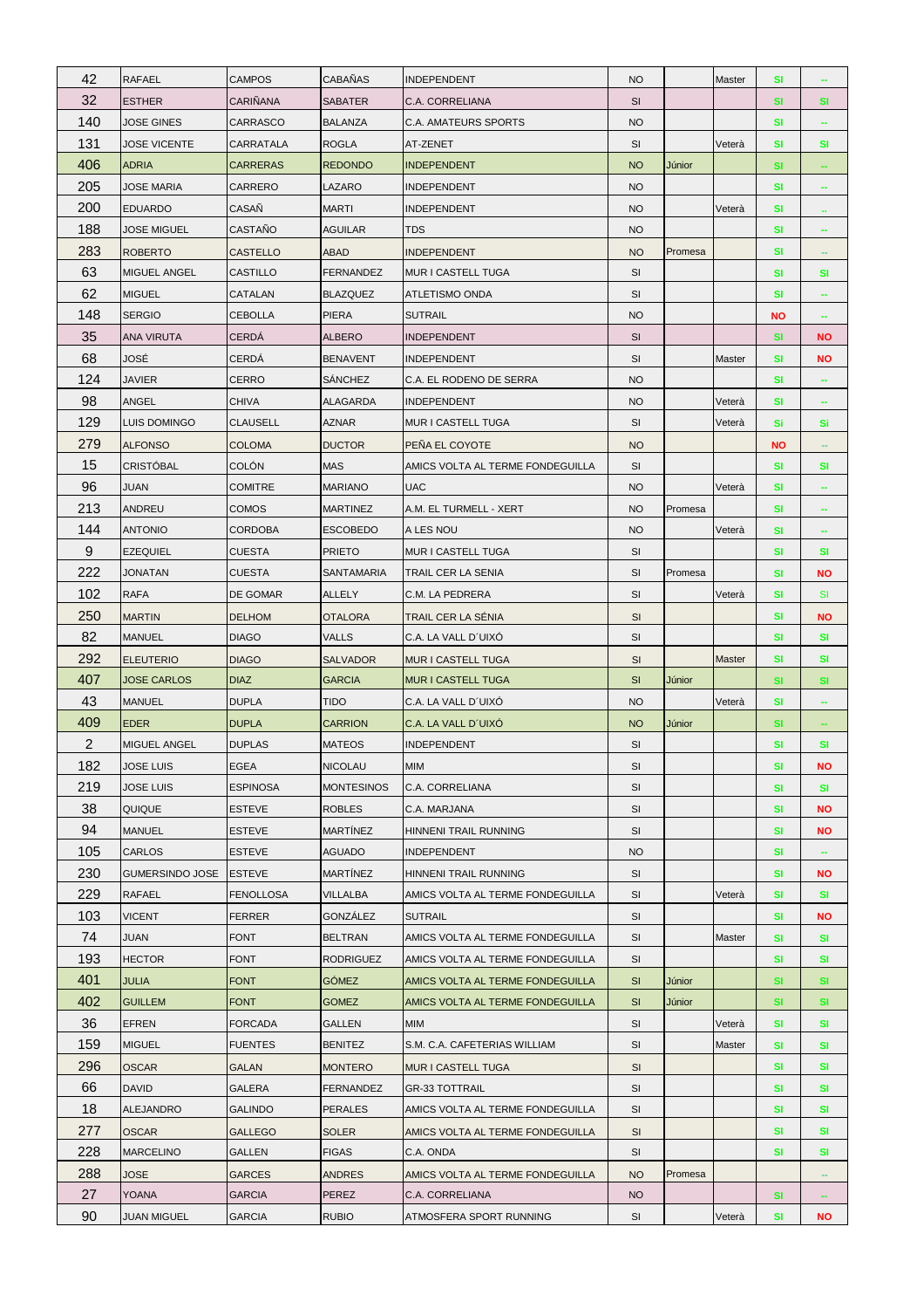| 42             | <b>RAFAEL</b>          | <b>CAMPOS</b>    | CABAÑAS           | <b>INDEPENDENT</b>               | <b>NO</b> |         | Master        | <b>SI</b> | ÷                        |
|----------------|------------------------|------------------|-------------------|----------------------------------|-----------|---------|---------------|-----------|--------------------------|
| 32             | <b>ESTHER</b>          | CARIÑANA         | <b>SABATER</b>    | C.A. CORRELIANA                  | <b>SI</b> |         |               | <b>SI</b> | <b>SI</b>                |
| 140            | JOSE GINES             | CARRASCO         | <b>BALANZA</b>    | C.A. AMATEURS SPORTS             | <b>NO</b> |         |               | <b>SI</b> |                          |
| 131            | <b>JOSE VICENTE</b>    | CARRATALA        | <b>ROGLA</b>      | AT-ZENET                         | SI        |         | Veterà        | <b>SI</b> | <b>SI</b>                |
| 406            | <b>ADRIA</b>           | <b>CARRERAS</b>  | <b>REDONDO</b>    | <b>INDEPENDENT</b>               | <b>NO</b> | Júnior  |               | <b>SI</b> | $\overline{\phantom{a}}$ |
| 205            | JOSE MARIA             | CARRERO          | LAZARO            | <b>INDEPENDENT</b>               | <b>NO</b> |         |               | <b>SI</b> | --                       |
| 200            | EDUARDO                | CASAÑ            | <b>MARTI</b>      | <b>INDEPENDENT</b>               | <b>NO</b> |         | Veterà        | SI        | $\mathbf{u}$             |
| 188            | JOSE MIGUEL            | CASTAÑO          | <b>AGUILAR</b>    | <b>TDS</b>                       | <b>NO</b> |         |               | <b>SI</b> | ÷                        |
| 283            | <b>ROBERTO</b>         | <b>CASTELLO</b>  | ABAD              | <b>INDEPENDENT</b>               | <b>NO</b> | Promesa |               | <b>SI</b> | н.                       |
| 63             | <b>MIGUEL ANGEL</b>    | <b>CASTILLO</b>  | <b>FERNANDEZ</b>  | MUR I CASTELL TUGA               | SI        |         |               | <b>SI</b> | SI                       |
| 62             | <b>MIGUEL</b>          | CATALAN          | <b>BLAZQUEZ</b>   | ATLETISMO ONDA                   | SI        |         |               | <b>SI</b> | ۰                        |
| 148            | <b>SERGIO</b>          | <b>CEBOLLA</b>   | <b>PIERA</b>      | <b>SUTRAIL</b>                   | <b>NO</b> |         |               | <b>NO</b> |                          |
| 35             | <b>ANA VIRUTA</b>      | CERDÁ            | <b>ALBERO</b>     | <b>INDEPENDENT</b>               | SI        |         |               | <b>SI</b> | <b>NO</b>                |
| 68             | JOSÉ                   | CERDÁ            | <b>BENAVENT</b>   | <b>INDEPENDENT</b>               | SI        |         | Master        | <b>SI</b> | ΝO                       |
| 124            | <b>JAVIER</b>          | CERRO            | <b>SÁNCHEZ</b>    | C.A. EL RODENO DE SERRA          | <b>NO</b> |         |               | <b>SI</b> | $\overline{\phantom{a}}$ |
| 98             | ANGEL                  | <b>CHIVA</b>     | ALAGARDA          | <b>INDEPENDENT</b>               | <b>NO</b> |         | Veterà        | <b>SI</b> | $\sim$                   |
| 129            | LUIS DOMINGO           | <b>CLAUSELL</b>  | AZNAR             | <b>MUR I CASTELL TUGA</b>        | SI        |         | Veterà        | Si        | Si                       |
| 279            | <b>ALFONSO</b>         | <b>COLOMA</b>    | <b>DUCTOR</b>     | PEÑA EL COYOTE                   | <b>NO</b> |         |               | <b>NO</b> | $\overline{\phantom{a}}$ |
| 15             | <b>CRISTÓBAL</b>       | COLÓN            | <b>MAS</b>        | AMICS VOLTA AL TERME FONDEGUILLA | <b>SI</b> |         |               | SI        | <b>SI</b>                |
| 96             | JUAN                   | <b>COMITRE</b>   | <b>MARIANO</b>    | <b>UAC</b>                       | <b>NO</b> |         | Veterà        | <b>SI</b> |                          |
| 213            | ANDREU                 | <b>COMOS</b>     | <b>MARTINEZ</b>   | A.M. EL TURMELL - XERT           | <b>NO</b> | Promesa |               | SI        | ۰                        |
| 144            | <b>ANTONIO</b>         | <b>CORDOBA</b>   | <b>ESCOBEDO</b>   | A LES NOU                        | <b>NO</b> |         | Veterà        | <b>SI</b> |                          |
| 9              | <b>EZEQUIEL</b>        | <b>CUESTA</b>    | <b>PRIETO</b>     | MUR I CASTELL TUGA               | SI        |         |               | <b>SI</b> | <b>SI</b>                |
| 222            | JONATAN                | <b>CUESTA</b>    | SANTAMARIA        | TRAIL CER LA SENIA               | SI        | Promesa |               | <b>SI</b> | NO                       |
| 102            | <b>RAFA</b>            | DE GOMAR         | <b>ALLELY</b>     | C.M. LA PEDRERA                  | SI        |         | Veterà        | <b>SI</b> | <b>SI</b>                |
| 250            | <b>MARTIN</b>          | <b>DELHOM</b>    | <b>OTALORA</b>    | TRAIL CER LA SÉNIA               | <b>SI</b> |         |               | <b>SI</b> | <b>NO</b>                |
| 82             | <b>MANUEL</b>          | <b>DIAGO</b>     | <b>VALLS</b>      | C.A. LA VALL D'UIXO              | SI        |         |               | SI        | SI                       |
| 292            | <b>ELEUTERIO</b>       | <b>DIAGO</b>     | <b>SALVADOR</b>   | MUR I CASTELL TUGA               | SI        |         | <b>Master</b> | <b>SI</b> | <b>SI</b>                |
| 407            | <b>JOSE CARLOS</b>     | <b>DIAZ</b>      | <b>GARCIA</b>     | <b>MUR I CASTELL TUGA</b>        | SI        | Júnior  |               | <b>SI</b> | <b>SI</b>                |
| 43             | <b>MANUEL</b>          | <b>DUPLA</b>     | <b>TIDO</b>       | C.A. LA VALL D'UIXO              | <b>NO</b> |         | Veterà        | <b>SI</b> |                          |
| 409            | <b>EDER</b>            | <b>DUPLA</b>     | <b>CARRION</b>    | C.A. LA VALL D'UIXO              | <b>NO</b> | Júnior  |               | <b>SI</b> | ÷                        |
| $\overline{2}$ | <b>MIGUEL ANGEL</b>    | <b>DUPLAS</b>    | <b>MATEOS</b>     | INDEPENDENT                      | SI        |         |               | <b>SI</b> | <b>SI</b>                |
| 182            | <b>JOSE LUIS</b>       | <b>EGEA</b>      | <b>NICOLAU</b>    | <b>MIM</b>                       | SI        |         |               | <b>SI</b> | ΝO                       |
| 219            | JOSE LUIS              | <b>ESPINOSA</b>  | <b>MONTESINOS</b> | C.A. CORRELIANA                  | SI        |         |               | <b>SI</b> | <b>SI</b>                |
| 38             | QUIQUE                 | <b>ESTEVE</b>    | <b>ROBLES</b>     | C.A. MARJANA                     | SI        |         |               | <b>SI</b> | <b>NO</b>                |
| 94             | <b>MANUEL</b>          | <b>ESTEVE</b>    | <b>MARTÍNEZ</b>   | HINNENI TRAIL RUNNING            | SI        |         |               | <b>SI</b> | <b>NO</b>                |
| 105            | CARLOS                 | ESTEVE           | <b>AGUADO</b>     | <b>INDEPENDENT</b>               | <b>NO</b> |         |               | SI        |                          |
| 230            | <b>GUMERSINDO JOSE</b> | <b>ESTEVE</b>    | MARTÍNEZ          | HINNENI TRAIL RUNNING            | SI        |         |               | <b>SI</b> | <b>NO</b>                |
| 229            | <b>RAFAEL</b>          | <b>FENOLLOSA</b> | VILLALBA          | AMICS VOLTA AL TERME FONDEGUILLA | SI        |         | Veterà        | <b>SI</b> | <b>SI</b>                |
| 103            | <b>VICENT</b>          | <b>FERRER</b>    | GONZÁLEZ          | <b>SUTRAIL</b>                   | SI        |         |               | <b>SI</b> | <b>NO</b>                |
| 74             | JUAN                   | <b>FONT</b>      | <b>BELTRAN</b>    | AMICS VOLTA AL TERME FONDEGUILLA | SI        |         | Master        | <b>SI</b> | <b>SI</b>                |
| 193            | <b>HECTOR</b>          | <b>FONT</b>      | <b>RODRIGUEZ</b>  | AMICS VOLTA AL TERME FONDEGUILLA | SI        |         |               | SI        | <b>SI</b>                |
| 401            | <b>JULIA</b>           | <b>FONT</b>      | <b>GÓMEZ</b>      | AMICS VOLTA AL TERME FONDEGUILLA | <b>SI</b> | Júnior  |               | <b>SI</b> | <b>SI</b>                |
| 402            | <b>GUILLEM</b>         | <b>FONT</b>      | <b>GOMEZ</b>      | AMICS VOLTA AL TERME FONDEGUILLA | <b>SI</b> | Júnior  |               | <b>SI</b> | <b>SI</b>                |
| 36             | <b>EFREN</b>           | <b>FORCADA</b>   | GALLEN            | <b>MIM</b>                       | SI        |         | Veterà        | SI        | <b>SI</b>                |
| 159            | <b>MIGUEL</b>          | <b>FUENTES</b>   | <b>BENITEZ</b>    | S.M. C.A. CAFETERIAS WILLIAM     | SI        |         | Master        | <b>SI</b> | <b>SI</b>                |
| 296            | <b>OSCAR</b>           | GALAN            | <b>MONTERO</b>    | MUR I CASTELL TUGA               | SI        |         |               | SI        | <b>SI</b>                |
| 66             | <b>DAVID</b>           | <b>GALERA</b>    | <b>FERNANDEZ</b>  | <b>GR-33 TOTTRAIL</b>            | SI        |         |               | <b>SI</b> | <b>SI</b>                |
| 18             | <b>ALEJANDRO</b>       | <b>GALINDO</b>   | <b>PERALES</b>    | AMICS VOLTA AL TERME FONDEGUILLA | SI        |         |               | <b>SI</b> | <b>SI</b>                |
| 277            | <b>OSCAR</b>           | <b>GALLEGO</b>   | <b>SOLER</b>      | AMICS VOLTA AL TERME FONDEGUILLA | SI        |         |               | SI        | SI                       |
| 228            | <b>MARCELINO</b>       | GALLEN           | <b>FIGAS</b>      | C.A. ONDA                        | SI        |         |               | <b>SI</b> | <b>SI</b>                |
| 288            | <b>JOSE</b>            | <b>GARCES</b>    | <b>ANDRES</b>     | AMICS VOLTA AL TERME FONDEGUILLA | <b>NO</b> | Promesa |               |           |                          |
| 27             | YOANA                  | <b>GARCIA</b>    | PEREZ             | C.A. CORRELIANA                  | <b>NO</b> |         |               | <b>SI</b> | $\overline{\phantom{a}}$ |
| 90             | JUAN MIGUEL            | <b>GARCIA</b>    | <b>RUBIO</b>      | ATMOSFERA SPORT RUNNING          | SI        |         | Veterà        | <b>SI</b> | <b>NO</b>                |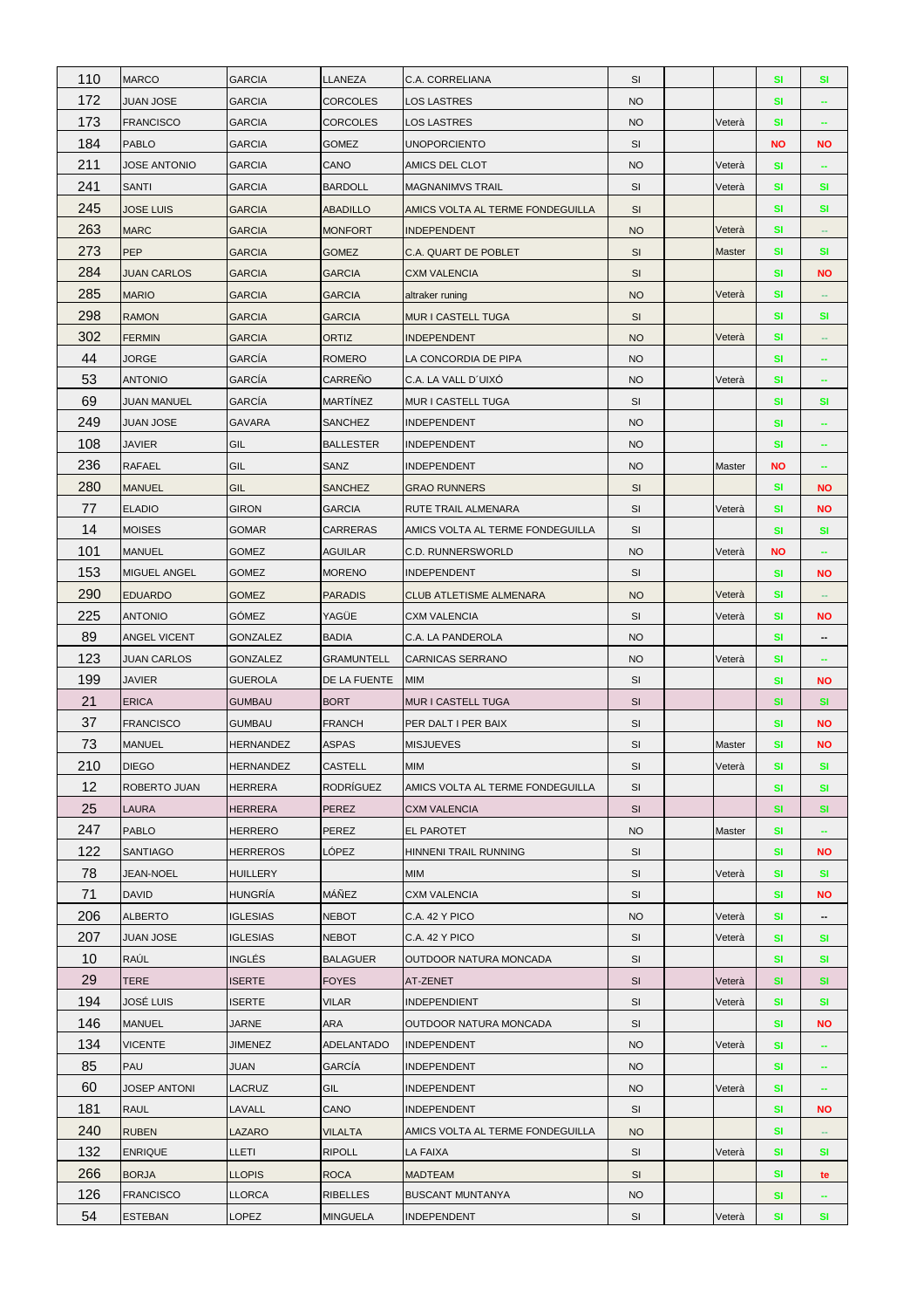| 110 | <b>MARCO</b>        | <b>GARCIA</b>    | LLANEZA           | C.A. CORRELIANA                  | <b>SI</b> |               | <b>SI</b> | <b>SI</b>                |
|-----|---------------------|------------------|-------------------|----------------------------------|-----------|---------------|-----------|--------------------------|
| 172 | <b>JUAN JOSE</b>    | <b>GARCIA</b>    | <b>CORCOLES</b>   | <b>LOS LASTRES</b>               | <b>NO</b> |               | SI        |                          |
| 173 | <b>FRANCISCO</b>    | <b>GARCIA</b>    | <b>CORCOLES</b>   | LOS LASTRES                      | <b>NO</b> | Veterà        | <b>SI</b> | -                        |
| 184 | <b>PABLO</b>        | <b>GARCIA</b>    | <b>GOMEZ</b>      | <b>UNOPORCIENTO</b>              | SI        |               | <b>NO</b> | NO                       |
| 211 | <b>JOSE ANTONIO</b> | <b>GARCIA</b>    | CANO              | AMICS DEL CLOT                   | <b>NO</b> | Veterà        | <b>SI</b> | $\overline{\phantom{a}}$ |
| 241 | <b>SANTI</b>        | <b>GARCIA</b>    | <b>BARDOLL</b>    | <b>MAGNANIMVS TRAIL</b>          | SI        | Veterà        | SI        | <b>SI</b>                |
| 245 | <b>JOSE LUIS</b>    | <b>GARCIA</b>    | <b>ABADILLO</b>   | AMICS VOLTA AL TERME FONDEGUILLA | <b>SI</b> |               | SI        | SI                       |
| 263 | <b>MARC</b>         | <b>GARCIA</b>    | <b>MONFORT</b>    | <b>INDEPENDENT</b>               | <b>NO</b> | Veterà        | SI        | $\overline{\phantom{a}}$ |
| 273 | <b>PEP</b>          | <b>GARCIA</b>    | <b>GOMEZ</b>      | C.A. QUART DE POBLET             | SI        | <b>Master</b> | SI        | SI                       |
| 284 | <b>JUAN CARLOS</b>  | <b>GARCIA</b>    | <b>GARCIA</b>     | CXM VALENCIA                     | SI        |               | <b>SI</b> | <b>NO</b>                |
| 285 | <b>MARIO</b>        | <b>GARCIA</b>    | <b>GARCIA</b>     | altraker runing                  | <b>NO</b> | Veterà        | SI        | $\sim$                   |
| 298 | <b>RAMON</b>        | <b>GARCIA</b>    | <b>GARCIA</b>     | MUR I CASTELL TUGA               | SI        |               | SI        | <b>SI</b>                |
| 302 | <b>FERMIN</b>       | <b>GARCIA</b>    | ORTIZ             | <b>INDEPENDENT</b>               | <b>NO</b> | Veterà        | SI        |                          |
| 44  | JORGE               | GARCÍA           | <b>ROMERO</b>     | LA CONCORDIA DE PIPA             | <b>NO</b> |               | SI        |                          |
| 53  | <b>ANTONIO</b>      | GARCÍA           | CARREÑO           | C.A. LA VALL D'UIXÓ              | <b>NO</b> | Veterà        | <b>SI</b> | $\overline{\phantom{a}}$ |
| 69  | <b>JUAN MANUEL</b>  | GARCÍA           | <b>MARTÍNEZ</b>   | MUR I CASTELL TUGA               | SI        |               | SI        | SI                       |
| 249 | <b>JUAN JOSE</b>    | <b>GAVARA</b>    | SANCHEZ           | INDEPENDENT                      | <b>NO</b> |               | SI        |                          |
| 108 | <b>JAVIER</b>       | GIL              | <b>BALLESTER</b>  | INDEPENDENT                      | <b>NO</b> |               | SI        | ÷                        |
| 236 | <b>RAFAEL</b>       | GIL              | SANZ              | INDEPENDENT                      | <b>NO</b> | Master        | <b>NO</b> |                          |
| 280 | <b>MANUEL</b>       | GIL              | <b>SANCHEZ</b>    | <b>GRAO RUNNERS</b>              | SI        |               | SI        | <b>NO</b>                |
| 77  | <b>ELADIO</b>       | <b>GIRON</b>     | <b>GARCIA</b>     | RUTE TRAIL ALMENARA              | SI        | Veterà        | SI        | <b>NO</b>                |
| 14  | <b>MOISES</b>       | <b>GOMAR</b>     | <b>CARRERAS</b>   | AMICS VOLTA AL TERME FONDEGUILLA | <b>SI</b> |               | <b>SI</b> | <b>SI</b>                |
| 101 | <b>MANUEL</b>       | GOMEZ            | <b>AGUILAR</b>    | C.D. RUNNERSWORLD                | <b>NO</b> | Veterà        | <b>NO</b> |                          |
| 153 | MIGUEL ANGEL        | <b>GOMEZ</b>     | <b>MORENO</b>     | INDEPENDENT                      | SI        |               | <b>SI</b> | <b>NO</b>                |
| 290 | <b>EDUARDO</b>      | <b>GOMEZ</b>     | <b>PARADIS</b>    | CLUB ATLETISME ALMENARA          | <b>NO</b> | Veterà        | <b>SI</b> | н.                       |
| 225 | <b>ANTONIO</b>      | <b>GÓMEZ</b>     | YAGÜE             | <b>CXM VALENCIA</b>              | SI        | Veterà        | SI        | NO                       |
| 89  | <b>ANGEL VICENT</b> | GONZALEZ         | <b>BADIA</b>      | C.A. LA PANDEROLA                | <b>NO</b> |               | SI        | --                       |
|     |                     |                  |                   |                                  |           |               |           |                          |
| 123 | <b>JUAN CARLOS</b>  | GONZALEZ         | <b>GRAMUNTELL</b> | CARNICAS SERRANO                 | <b>NO</b> | Veterà        | <b>SI</b> | $\overline{\phantom{m}}$ |
| 199 | <b>JAVIER</b>       | <b>GUEROLA</b>   | DE LA FUENTE      | <b>MIM</b>                       | SI        |               | <b>SI</b> | <b>NO</b>                |
| 21  | <b>ERICA</b>        | <b>GUMBAU</b>    | <b>BORT</b>       | MUR I CASTELL TUGA               | SI        |               | SI        | <b>SI</b>                |
| 37  | <b>FRANCISCO</b>    | GUMBAU           | <b>FRANCH</b>     | PER DALT I PER BAIX              | SI        |               | SI        | <b>NO</b>                |
| 73  | <b>MANUEL</b>       | <b>HERNANDEZ</b> | ASPAS             | <b>MISJUEVES</b>                 | SI        | Master        | SI        | NO                       |
| 210 | <b>DIEGO</b>        | <b>HERNANDEZ</b> | CASTELL           | MIM                              | SI        | Veterà        | SI        | SI                       |
| 12  | ROBERTO JUAN        | <b>HERRERA</b>   | <b>RODRÍGUEZ</b>  | AMICS VOLTA AL TERME FONDEGUILLA | SI        |               | <b>SI</b> | <b>SI</b>                |
| 25  | <b>LAURA</b>        | <b>HERRERA</b>   | <b>PEREZ</b>      | <b>CXM VALENCIA</b>              | <b>SI</b> |               | <b>SI</b> | <b>SI</b>                |
| 247 | <b>PABLO</b>        | <b>HERRERO</b>   | PEREZ             | EL PAROTET                       | <b>NO</b> | Master        | SI        |                          |
| 122 | <b>SANTIAGO</b>     | <b>HERREROS</b>  | LÓPEZ             | HINNENI TRAIL RUNNING            | <b>SI</b> |               | SI        | NO                       |
| 78  | JEAN-NOEL           | <b>HUILLERY</b>  |                   | МIМ                              | SI        | Veterà        | SI        | <b>SI</b>                |
| 71  | <b>DAVID</b>        | <b>HUNGRÍA</b>   | MÁÑEZ             | <b>CXM VALENCIA</b>              | SI        |               | SI        | NO                       |
| 206 | <b>ALBERTO</b>      | <b>IGLESIAS</b>  | <b>NEBOT</b>      | C.A. 42 Y PICO                   | <b>NO</b> | Veterà        | <b>SI</b> | $\overline{\phantom{a}}$ |
| 207 | <b>JUAN JOSE</b>    | <b>IGLESIAS</b>  | <b>NEBOT</b>      | <b>C.A. 42 Y PICO</b>            | SI        | Veterà        | SI        | SI                       |
| 10  | <b>RAÚL</b>         | <b>INGLÉS</b>    | <b>BALAGUER</b>   | OUTDOOR NATURA MONCADA           | <b>SI</b> |               | <b>SI</b> | <b>SI</b>                |
| 29  | <b>TERE</b>         | <b>ISERTE</b>    | <b>FOYES</b>      | AT-ZENET                         | SI        | Veterà        | SI        | <b>SI</b>                |
| 194 | JOSÉ LUIS           | ISERTE           | <b>VILAR</b>      | <b>INDEPENDIENT</b>              | SI        | Veterà        | SI        | SI                       |
| 146 | <b>MANUEL</b>       | <b>JARNE</b>     | ARA               | OUTDOOR NATURA MONCADA           | SI        |               | <b>SI</b> | <b>NO</b>                |
| 134 | <b>VICENTE</b>      | <b>JIMENEZ</b>   | <b>ADELANTADO</b> | <b>INDEPENDENT</b>               | <b>NO</b> | Veterà        | SI        |                          |
| 85  | <b>PAU</b>          | JUAN             | GARCÍA            | INDEPENDENT                      | <b>NO</b> |               | SI        | $\sim$                   |
| 60  | <b>JOSEP ANTONI</b> | LACRUZ           | GIL               | INDEPENDENT                      | <b>NO</b> | Veterà        | <b>SI</b> | $\overline{\phantom{m}}$ |
| 181 | <b>RAUL</b>         | LAVALL           | CANO              | <b>INDEPENDENT</b>               | SI        |               | SI        | <b>NO</b>                |
| 240 | <b>RUBEN</b>        | LAZARO           | <b>VILALTA</b>    | AMICS VOLTA AL TERME FONDEGUILLA | <b>NO</b> |               | <b>SI</b> |                          |
| 132 | <b>ENRIQUE</b>      | LLETI            | <b>RIPOLL</b>     | LA FAIXA                         | SI        | Veterà        | SI        | SI                       |
| 266 | <b>BORJA</b>        | <b>LLOPIS</b>    | <b>ROCA</b>       | <b>MADTEAM</b>                   | SI        |               | <b>SI</b> | te                       |
| 126 | <b>FRANCISCO</b>    | LLORCA           | <b>RIBELLES</b>   | <b>BUSCANT MUNTANYA</b>          | <b>NO</b> |               | SI        |                          |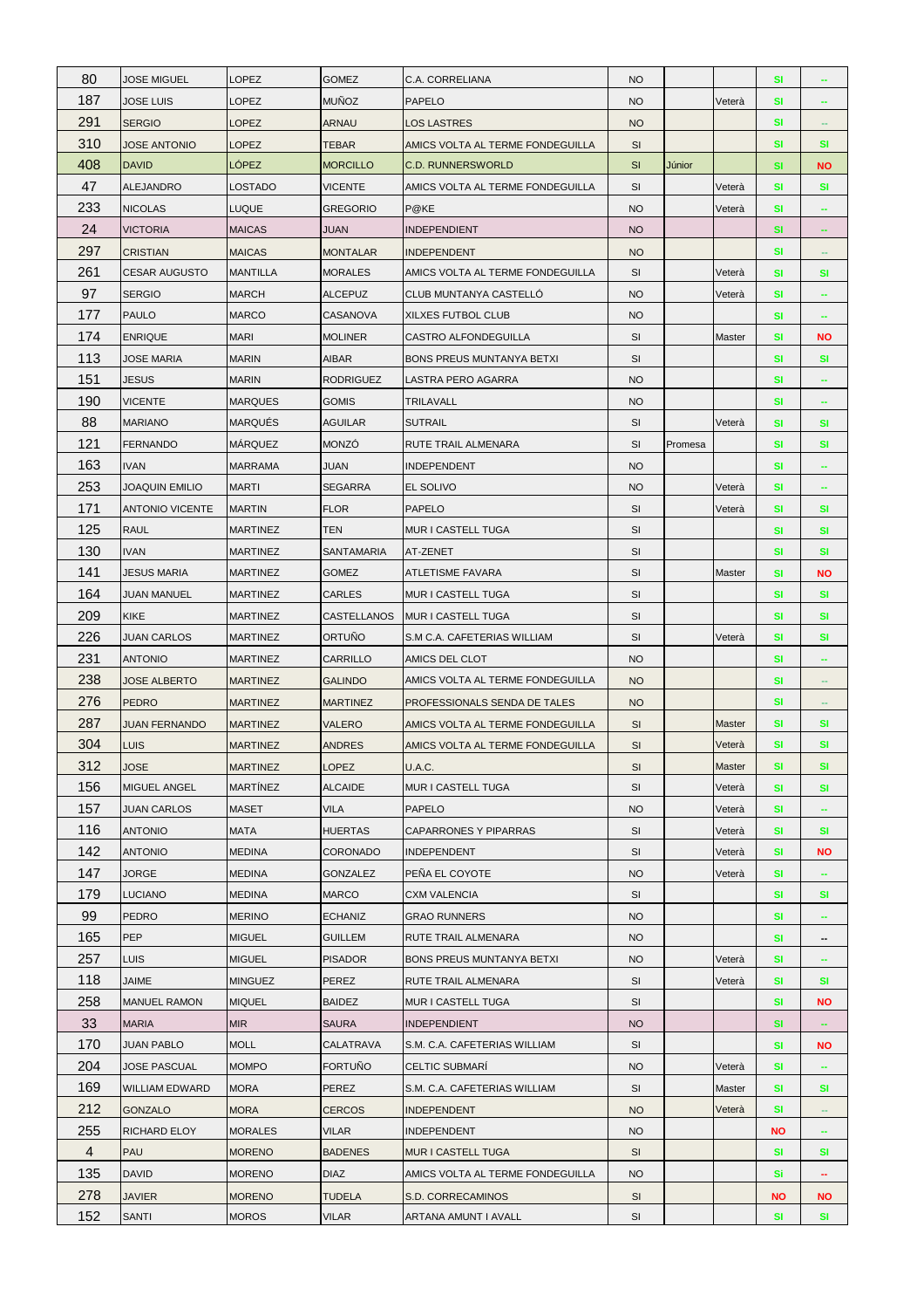| 80  | JOSE MIGUEL            | LOPEZ           | <b>GOMEZ</b>     | C.A. CORRELIANA                  | <b>NO</b> |         |        | <b>SI</b> |                          |
|-----|------------------------|-----------------|------------------|----------------------------------|-----------|---------|--------|-----------|--------------------------|
| 187 | <b>JOSE LUIS</b>       | LOPEZ           | <b>MUÑOZ</b>     | <b>PAPELO</b>                    | <b>NO</b> |         | Veterà | SI        |                          |
| 291 | <b>SERGIO</b>          | LOPEZ           | ARNAU            | LOS LASTRES                      | <b>NO</b> |         |        | SI        |                          |
| 310 | <b>JOSE ANTONIO</b>    | LOPEZ           | <b>TEBAR</b>     | AMICS VOLTA AL TERME FONDEGUILLA | <b>SI</b> |         |        | SI        | SI                       |
| 408 | <b>DAVID</b>           | LÓPEZ           | <b>MORCILLO</b>  | <b>C.D. RUNNERSWORLD</b>         | SI        | Júnior  |        | <b>SI</b> | <b>NO</b>                |
| 47  | <b>ALEJANDRO</b>       | LOSTADO         | <b>VICENTE</b>   | AMICS VOLTA AL TERME FONDEGUILLA | SI        |         | Veterà | SI        | <b>SI</b>                |
| 233 | <b>NICOLAS</b>         | LUQUE           | <b>GREGORIO</b>  | P@KE                             | <b>NO</b> |         | Veterà | SI        |                          |
| 24  | <b>VICTORIA</b>        | <b>MAICAS</b>   | <b>JUAN</b>      | <b>INDEPENDIENT</b>              | <b>NO</b> |         |        | <b>SI</b> | ÷                        |
| 297 | <b>CRISTIAN</b>        | <b>MAICAS</b>   | <b>MONTALAR</b>  | <b>INDEPENDENT</b>               | <b>NO</b> |         |        | <b>SI</b> |                          |
| 261 | <b>CESAR AUGUSTO</b>   | <b>MANTILLA</b> | <b>MORALES</b>   | AMICS VOLTA AL TERME FONDEGUILLA | <b>SI</b> |         | Veterà | <b>SI</b> | <b>SI</b>                |
| 97  | <b>SERGIO</b>          | <b>MARCH</b>    | ALCEPUZ          | CLUB MUNTANYA CASTELLO           | <b>NO</b> |         | Veterà | SI        |                          |
| 177 | <b>PAULO</b>           | <b>MARCO</b>    | CASANOVA         | XILXES FUTBOL CLUB               | <b>NO</b> |         |        | SI        | $\sim$                   |
| 174 | <b>ENRIQUE</b>         | <b>MARI</b>     | <b>MOLINER</b>   | CASTRO ALFONDEGUILLA             | SI        |         | Master | SI        | <b>NO</b>                |
| 113 | JOSE MARIA             | <b>MARIN</b>    | <b>AIBAR</b>     | BONS PREUS MUNTANYA BETXI        | SI        |         |        | SI        | SI                       |
| 151 | <b>JESUS</b>           | <b>MARIN</b>    | <b>RODRIGUEZ</b> | LASTRA PERO AGARRA               | <b>NO</b> |         |        | <b>SI</b> | $\overline{\phantom{a}}$ |
| 190 | <b>VICENTE</b>         | <b>MARQUES</b>  | <b>GOMIS</b>     | TRILAVALL                        | <b>NO</b> |         |        | SI        |                          |
| 88  | <b>MARIANO</b>         | <b>MARQUÉS</b>  | <b>AGUILAR</b>   | <b>SUTRAIL</b>                   | <b>SI</b> |         | Veterà | SI        | <b>SI</b>                |
| 121 | <b>FERNANDO</b>        | <b>MARQUEZ</b>  | <b>MONZO</b>     | RUTE TRAIL ALMENARA              | SI        | Promesa |        | SI        | SI                       |
| 163 | <b>IVAN</b>            | <b>MARRAMA</b>  | <b>JUAN</b>      | <b>INDEPENDENT</b>               | <b>NO</b> |         |        | <b>SI</b> |                          |
| 253 | <b>JOAQUIN EMILIO</b>  | <b>MARTI</b>    | <b>SEGARRA</b>   | EL SOLIVO                        | <b>NO</b> |         | Veterà | SI        | --                       |
| 171 | <b>ANTONIO VICENTE</b> | <b>MARTIN</b>   | <b>FLOR</b>      | <b>PAPELO</b>                    | SI        |         | Veterà | SI        | SI                       |
| 125 | <b>RAUL</b>            | <b>MARTINEZ</b> | TEN              | MUR I CASTELL TUGA               | SI        |         |        | <b>SI</b> | SI                       |
| 130 | <b>IVAN</b>            | <b>MARTINEZ</b> | SANTAMARIA       | AT-ZENET                         | SI        |         |        | <b>SI</b> | <b>SI</b>                |
| 141 | JESUS MARIA            | <b>MARTINEZ</b> | <b>GOMEZ</b>     | ATLETISME FAVARA                 | SI        |         | Master | SI        | <b>NO</b>                |
| 164 | <b>JUAN MANUEL</b>     | <b>MARTINEZ</b> | <b>CARLES</b>    | MUR I CASTELL TUGA               | SI        |         |        | <b>SI</b> | <b>SI</b>                |
| 209 | <b>KIKE</b>            | <b>MARTINEZ</b> | CASTELLANOS      | <b>MUR I CASTELL TUGA</b>        | SI        |         |        | SI        | SI                       |
| 226 | <b>JUAN CARLOS</b>     | <b>MARTINEZ</b> | ORTUÑO           | S.M C.A. CAFETERIAS WILLIAM      | SI        |         | Veterà | SI        | SI                       |
| 231 | <b>ANTONIO</b>         | <b>MARTINEZ</b> | CARRILLO         | AMICS DEL CLOT                   | <b>NO</b> |         |        | SI        | ÷                        |
| 238 | <b>JOSE ALBERTO</b>    | <b>MARTINEZ</b> | <b>GALINDO</b>   | AMICS VOLTA AL TERME FONDEGUILLA | <b>NO</b> |         |        | <b>SI</b> |                          |
| 276 | <b>PEDRO</b>           | <b>MARTINEZ</b> | <b>MARTINEZ</b>  | PROFESSIONALS SENDA DE TALES     | <b>NO</b> |         |        | <b>SI</b> | н.                       |
| 287 | <b>JUAN FERNANDO</b>   | <b>MARTINEZ</b> | VALERO           | AMICS VOLTA AL TERME FONDEGUILLA | <b>SI</b> |         | Master | SI        | SI                       |
| 304 | <b>LUIS</b>            | <b>MARTINEZ</b> | <b>ANDRES</b>    | AMICS VOLTA AL TERME FONDEGUILLA | SI        |         | Veterà | SI        | SI                       |
| 312 | <b>JOSE</b>            | <b>MARTINEZ</b> | LOPEZ            | <b>U.A.C.</b>                    | SI        |         | master | <b>SI</b> | <b>SI</b>                |
| 156 | MIGUEL ANGEL           | <b>MARTÍNEZ</b> | <b>ALCAIDE</b>   | MUR I CASTELL TUGA               | SI        |         | Veterà | <b>SI</b> | <b>SI</b>                |
| 157 | <b>JUAN CARLOS</b>     | <b>MASET</b>    | <b>VILA</b>      | <b>PAPELO</b>                    | <b>NO</b> |         | Veterà | <b>SI</b> | $\overline{\phantom{a}}$ |
| 116 | <b>ANTONIO</b>         | <b>MATA</b>     | <b>HUERTAS</b>   | <b>CAPARRONES Y PIPARRAS</b>     | <b>SI</b> |         | Veterà | SI        | SI                       |
| 142 | <b>ANTONIO</b>         | <b>MEDINA</b>   | CORONADO         | <b>INDEPENDENT</b>               | SI        |         | Veterà | SI        | NO                       |
| 147 | <b>JORGE</b>           | <b>MEDINA</b>   | GONZALEZ         | PEÑA EL COYOTE                   | <b>NO</b> |         | Veterà | <b>SI</b> | $\overline{\phantom{m}}$ |
| 179 | <b>LUCIANO</b>         | <b>MEDINA</b>   | <b>MARCO</b>     | <b>CXM VALENCIA</b>              | SI        |         |        | <b>SI</b> | SI                       |
| 99  | <b>PEDRO</b>           | <b>MERINO</b>   | <b>ECHANIZ</b>   | <b>GRAO RUNNERS</b>              | <b>NO</b> |         |        | <b>SI</b> |                          |
| 165 | <b>PEP</b>             | <b>MIGUEL</b>   | <b>GUILLEM</b>   | RUTE TRAIL ALMENARA              | <b>NO</b> |         |        | <b>SI</b> | --                       |
| 257 | <b>LUIS</b>            | <b>MIGUEL</b>   | <b>PISADOR</b>   | <b>BONS PREUS MUNTANYA BETXI</b> | <b>NO</b> |         | Veterà | <b>SI</b> |                          |
| 118 | JAIME                  | <b>MINGUEZ</b>  | PEREZ            | RUTE TRAIL ALMENARA              | SI        |         | Veterà | SI        | <b>SI</b>                |
| 258 | <b>MANUEL RAMON</b>    | <b>MIQUEL</b>   | <b>BAIDEZ</b>    | MUR I CASTELL TUGA               | SI        |         |        | SI        | <b>NO</b>                |
| 33  | <b>MARIA</b>           | <b>MIR</b>      | <b>SAURA</b>     | <b>INDEPENDIENT</b>              | <b>NO</b> |         |        | <b>SI</b> | ÷                        |
| 170 | <b>JUAN PABLO</b>      | <b>MOLL</b>     | CALATRAVA        | S.M. C.A. CAFETERIAS WILLIAM     | SI        |         |        | <b>SI</b> | NO                       |
| 204 | <b>JOSE PASCUAL</b>    | <b>MOMPO</b>    | <b>FORTUÑO</b>   | <b>CELTIC SUBMARI</b>            | <b>NO</b> |         | Veterà | SI        |                          |
| 169 | <b>WILLIAM EDWARD</b>  | <b>MORA</b>     | PEREZ            | S.M. C.A. CAFETERIAS WILLIAM     | SI        |         | Master | <b>SI</b> | <b>SI</b>                |
| 212 | <b>GONZALO</b>         | <b>MORA</b>     | <b>CERCOS</b>    | <b>INDEPENDENT</b>               | <b>NO</b> |         | Veterà | <b>SI</b> |                          |
| 255 | RICHARD ELOY           | <b>MORALES</b>  | <b>VILAR</b>     | <b>INDEPENDENT</b>               | <b>NO</b> |         |        | <b>NO</b> |                          |
| 4   | PAU                    | MORENO          | <b>BADENES</b>   | MUR I CASTELL TUGA               | <b>SI</b> |         |        | SI        | SI                       |
| 135 | <b>DAVID</b>           | <b>MORENO</b>   | <b>DIAZ</b>      | AMICS VOLTA AL TERME FONDEGUILLA | <b>NO</b> |         |        | Si        | $\overline{\phantom{a}}$ |
| 278 | <b>JAVIER</b>          | <b>MORENO</b>   | <b>TUDELA</b>    | S.D. CORRECAMINOS                | SI        |         |        | <b>NO</b> | <b>NO</b>                |
| 152 | <b>SANTI</b>           | <b>MOROS</b>    | <b>VILAR</b>     | ARTANA AMUNT I AVALL             | SI        |         |        | <b>SI</b> | SI                       |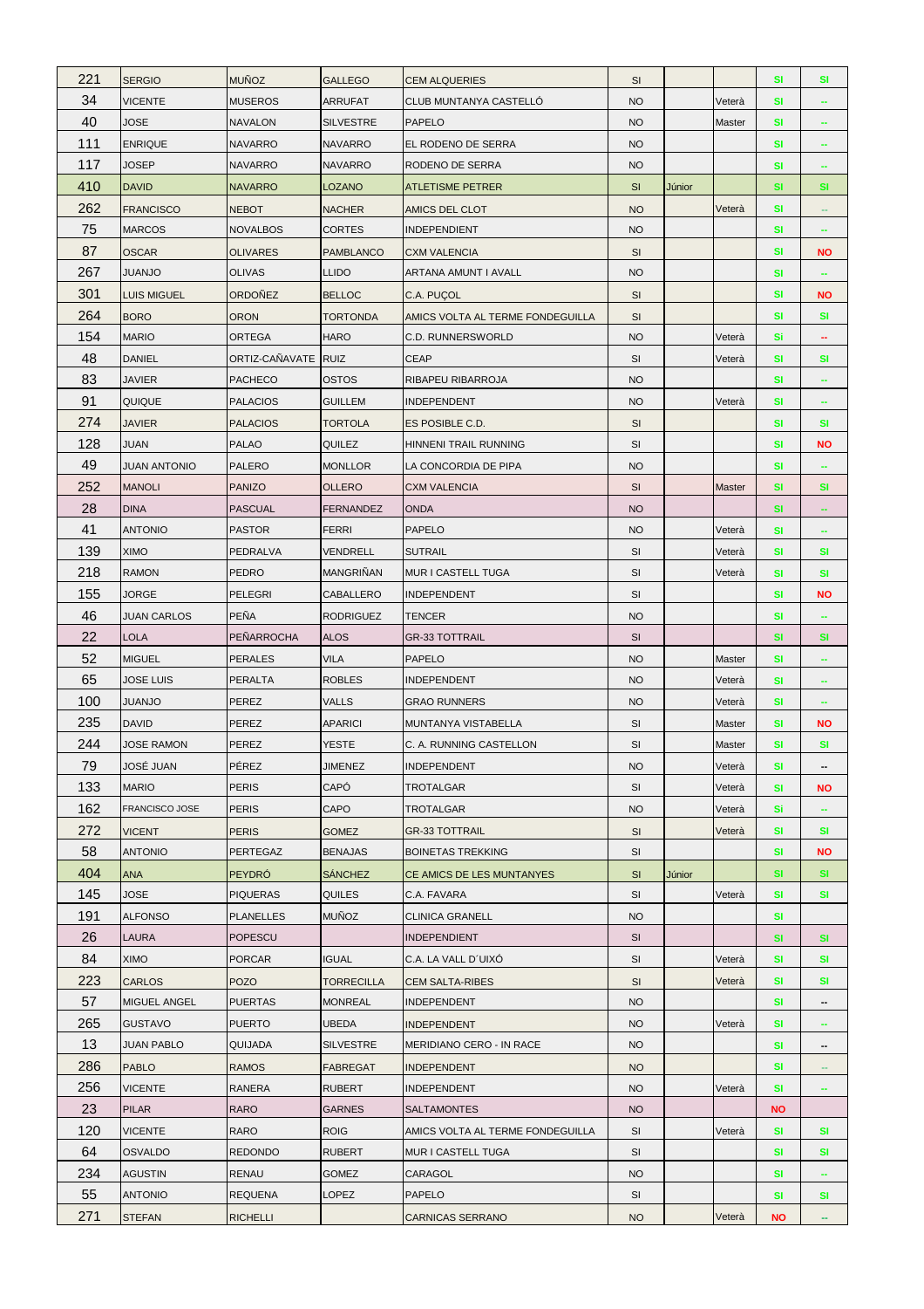| 221       | <b>SERGIO</b>                   | <b>MUÑOZ</b>                      | <b>GALLEGO</b>   | <b>CEM ALQUERIES</b>                     | SI              |        |        | <b>SI</b>       | <b>SI</b>                |
|-----------|---------------------------------|-----------------------------------|------------------|------------------------------------------|-----------------|--------|--------|-----------------|--------------------------|
| 34        | <b>VICENTE</b>                  | <b>MUSEROS</b>                    | <b>ARRUFAT</b>   | CLUB MUNTANYA CASTELLÓ                   | <b>NO</b>       |        | Veterà | <b>SI</b>       |                          |
| 40        | <b>JOSE</b>                     | <b>NAVALON</b>                    | <b>SILVESTRE</b> | <b>PAPELO</b>                            | <b>NO</b>       |        | Master | <b>SI</b>       | $\overline{\phantom{a}}$ |
| 111       | <b>ENRIQUE</b>                  | <b>NAVARRO</b>                    | <b>NAVARRO</b>   | EL RODENO DE SERRA                       | <b>NO</b>       |        |        | <b>SI</b>       |                          |
| 117       | <b>JOSEP</b>                    | <b>NAVARRO</b>                    | <b>NAVARRO</b>   | RODENO DE SERRA                          | <b>NO</b>       |        |        | <b>SI</b>       | ÷                        |
| 410       | <b>DAVID</b>                    | <b>NAVARRO</b>                    | <b>LOZANO</b>    | ATLETISME PETRER                         | SI              | Júnior |        | <b>SI</b>       | <b>SI</b>                |
| 262       | <b>FRANCISCO</b>                | <b>NEBOT</b>                      | <b>NACHER</b>    | AMICS DEL CLOT                           | <b>NO</b>       |        | Veterà | SI              |                          |
| 75        | <b>MARCOS</b>                   | <b>NOVALBOS</b>                   | <b>CORTES</b>    | <b>INDEPENDIENT</b>                      | <b>NO</b>       |        |        | <b>SI</b>       | ۰                        |
| 87        | <b>OSCAR</b>                    | <b>OLIVARES</b>                   | <b>PAMBLANCO</b> | <b>CXM VALENCIA</b>                      | SI              |        |        | SI              | <b>NO</b>                |
| 267       | <b>JUANJO</b>                   | <b>OLIVAS</b>                     | <b>LLIDO</b>     | ARTANA AMUNT I AVALL                     | <b>NO</b>       |        |        | <b>SI</b>       |                          |
| 301       | <b>LUIS MIGUEL</b>              | <b>ORDOÑEZ</b>                    | <b>BELLOC</b>    | C.A. PUÇOL                               | <b>SI</b>       |        |        | SI              | ΝO                       |
| 264       | <b>BORO</b>                     | <b>ORON</b>                       | <b>TORTONDA</b>  | AMICS VOLTA AL TERME FONDEGUILLA         | SI              |        |        | SI              | <b>SI</b>                |
| 154       | <b>MARIO</b>                    | ORTEGA                            | <b>HARO</b>      | C.D. RUNNERSWORLD                        | <b>NO</b>       |        | Veterà | Si              | $\overline{\phantom{a}}$ |
| 48        | <b>DANIEL</b>                   | ORTIZ-CAÑAVATE                    | <b>RUIZ</b>      | <b>CEAP</b>                              | SI              |        | Veterà | SI              | <b>SI</b>                |
| 83        | <b>JAVIER</b>                   | <b>PACHECO</b>                    | <b>OSTOS</b>     | RIBAPEU RIBARROJA                        | <b>NO</b>       |        |        | <b>SI</b>       | ÷                        |
| 91        | QUIQUE                          | <b>PALACIOS</b>                   | <b>GUILLEM</b>   | <b>INDEPENDENT</b>                       | <b>NO</b>       |        | Veterà | <b>SI</b>       |                          |
| 274       | <b>JAVIER</b>                   | <b>PALACIOS</b>                   | <b>TORTOLA</b>   | ES POSIBLE C.D.                          | SI              |        |        | SI              | <b>SI</b>                |
| 128       | <b>JUAN</b>                     | <b>PALAO</b>                      | <b>QUILEZ</b>    | HINNENI TRAIL RUNNING                    | SI              |        |        | <b>SI</b>       | <b>NO</b>                |
| 49        | <b>JUAN ANTONIO</b>             | <b>PALERO</b>                     | <b>MONLLOR</b>   | LA CONCORDIA DE PIPA                     | <b>NO</b>       |        |        | <b>SI</b>       |                          |
| 252       | <b>MANOLI</b>                   | <b>PANIZO</b>                     | <b>OLLERO</b>    | <b>CXM VALENCIA</b>                      | SI              |        | Master | <b>SI</b>       | <b>SI</b>                |
| 28        | <b>DINA</b>                     | <b>PASCUAL</b>                    | <b>FERNANDEZ</b> | <b>ONDA</b>                              | <b>NO</b>       |        |        | <b>SI</b>       |                          |
| 41        | <b>ANTONIO</b>                  | <b>PASTOR</b>                     | <b>FERRI</b>     | <b>PAPELO</b>                            | <b>NO</b>       |        | Veterà | SI              | $\sim$                   |
| 139       | <b>XIMO</b>                     | PEDRALVA                          | VENDRELL         | <b>SUTRAIL</b>                           | SI              |        | Veterà | <b>SI</b>       | <b>SI</b>                |
| 218       | <b>RAMON</b>                    | <b>PEDRO</b>                      | <b>MANGRINAN</b> | MUR I CASTELL TUGA                       | SI              |        | Veterà | <b>SI</b>       | <b>SI</b>                |
| 155       | <b>JORGE</b>                    | <b>PELEGRI</b>                    | <b>CABALLERO</b> | <b>INDEPENDENT</b>                       | SI              |        |        | <b>SI</b>       | <b>NO</b>                |
| 46        | <b>JUAN CARLOS</b>              | <b>PEÑA</b>                       | <b>RODRIGUEZ</b> | <b>TENCER</b>                            | <b>NO</b>       |        |        | <b>SI</b>       |                          |
|           |                                 | PEÑARROCHA                        |                  |                                          | SI              |        |        | <b>SI</b>       | SI                       |
| 22        | <b>LOLA</b>                     |                                   | <b>ALOS</b>      | <b>GR-33 TOTTRAIL</b>                    |                 |        |        |                 |                          |
| 52        | <b>MIGUEL</b>                   | <b>PERALES</b>                    | VILA             | PAPELO                                   | <b>NO</b>       |        | Master | <b>SI</b>       | ÷                        |
| 65        | <b>JOSE LUIS</b>                | <b>PERALTA</b>                    | <b>ROBLES</b>    | <b>INDEPENDENT</b>                       | <b>NO</b>       |        | Veterà | <b>SI</b>       |                          |
| 100       | <b>JUANJO</b>                   | PEREZ                             | <b>VALLS</b>     | <b>GRAO RUNNERS</b>                      | <b>NO</b>       |        | Veterà | <b>SI</b>       | $\sim$                   |
| 235       | <b>DAVID</b>                    | PEREZ                             | <b>APARICI</b>   | MUNTANYA VISTABELLA                      | SI              |        | Master | <b>SI</b>       | <b>NO</b>                |
| 244       | <b>JOSE RAMON</b>               | <b>PEREZ</b>                      | <b>YESTE</b>     | C. A. RUNNING CASTELLON                  | <b>SI</b>       |        | Master | SI              | <b>SI</b>                |
| 79        | JOSÉ JUAN                       | PÉREZ                             | <b>JIMENEZ</b>   | INDEPENDENT                              | <b>NO</b>       |        | Vetera | <b>SI</b>       |                          |
| 133       | <b>MARIO</b>                    | <b>PERIS</b>                      | CAPÓ             | TROTALGAR                                | SI              |        | Veterà | <b>SI</b>       | ΝO                       |
| 162       | <b>FRANCISCO JOSE</b>           | <b>PERIS</b>                      | CAPO             | TROTALGAR                                | <b>NO</b>       |        | Veterà | Si              | $\overline{\phantom{a}}$ |
| 272       | <b>VICENT</b>                   | <b>PERIS</b>                      | <b>GOMEZ</b>     | <b>GR-33 TOTTRAIL</b>                    | SI              |        | Veterà | SI              | SI                       |
| 58        | <b>ANTONIO</b>                  | PERTEGAZ                          | <b>BENAJAS</b>   | <b>BOINETAS TREKKING</b>                 | SI              |        |        | SI              | <b>NO</b>                |
| 404       | <b>ANA</b>                      | <b>PEYDRÓ</b>                     | <b>SÁNCHEZ</b>   | CE AMICS DE LES MUNTANYES                | SI              | Júnior |        | <b>SI</b>       | <b>SI</b>                |
| 145       | <b>JOSE</b>                     | <b>PIQUERAS</b>                   | QUILES           | C.A. FAVARA                              | SI              |        | Veterà | <b>SI</b>       | <b>SI</b>                |
| 191       | <b>ALFONSO</b>                  | <b>PLANELLES</b>                  | <b>MUÑOZ</b>     | <b>CLINICA GRANELL</b>                   | <b>NO</b>       |        |        | <b>SI</b>       |                          |
| 26        | <b>LAURA</b>                    | <b>POPESCU</b>                    |                  | <b>INDEPENDIENT</b>                      | SI              |        |        | <b>SI</b>       | <b>SI</b>                |
| 84        | <b>OMIX</b>                     | <b>PORCAR</b>                     | <b>IGUAL</b>     | C.A. LA VALL D'UIXÓ                      | SI              |        | Veterà | <b>SI</b>       | <b>SI</b>                |
| 223       | <b>CARLOS</b>                   | <b>POZO</b>                       | TORRECILLA       | <b>CEM SALTA-RIBES</b>                   | <b>SI</b>       |        | Veterà | SI              | <b>SI</b>                |
| 57        | MIGUEL ANGEL                    | <b>PUERTAS</b>                    | <b>MONREAL</b>   | INDEPENDENT                              | <b>NO</b>       |        |        | SI              |                          |
| 265       | <b>GUSTAVO</b>                  | <b>PUERTO</b>                     | <b>UBEDA</b>     | <b>INDEPENDENT</b>                       | <b>NO</b>       |        | Veterà | <b>SI</b>       | $\overline{\phantom{a}}$ |
| 13        | <b>JUAN PABLO</b>               | <b>QUIJADA</b>                    | <b>SILVESTRE</b> | MERIDIANO CERO - IN RACE                 | <b>NO</b>       |        |        | <b>SI</b>       | $\overline{\phantom{a}}$ |
| 286       | <b>PABLO</b>                    | <b>RAMOS</b>                      | <b>FABREGAT</b>  | <b>INDEPENDENT</b>                       | <b>NO</b>       |        |        | <b>SI</b>       | $\overline{\phantom{a}}$ |
| 256       | <b>VICENTE</b>                  | RANERA                            | <b>RUBERT</b>    | <b>INDEPENDENT</b>                       | <b>NO</b>       |        | Veterà | <b>SI</b>       | ۰                        |
| 23        | <b>PILAR</b>                    | <b>RARO</b>                       | <b>GARNES</b>    | <b>SALTAMONTES</b>                       | <b>NO</b>       |        |        | <b>NO</b>       |                          |
| 120       | <b>VICENTE</b>                  | RARO                              | <b>ROIG</b>      | AMICS VOLTA AL TERME FONDEGUILLA         | SI              |        | Veterà | <b>SI</b>       | <b>SI</b>                |
| 64        | <b>OSVALDO</b>                  | <b>REDONDO</b>                    | <b>RUBERT</b>    | MUR I CASTELL TUGA                       | SI              |        |        | SI              | SI                       |
| 234       | <b>AGUSTIN</b>                  | <b>RENAU</b>                      | <b>GOMEZ</b>     | CARAGOL                                  | <b>NO</b>       |        |        | <b>SI</b>       |                          |
| 55<br>271 | <b>ANTONIO</b><br><b>STEFAN</b> | <b>REQUENA</b><br><b>RICHELLI</b> | LOPEZ            | <b>PAPELO</b><br><b>CARNICAS SERRANO</b> | SI<br><b>NO</b> |        | Veterà | <b>SI</b><br>NO | <b>SI</b><br>÷           |